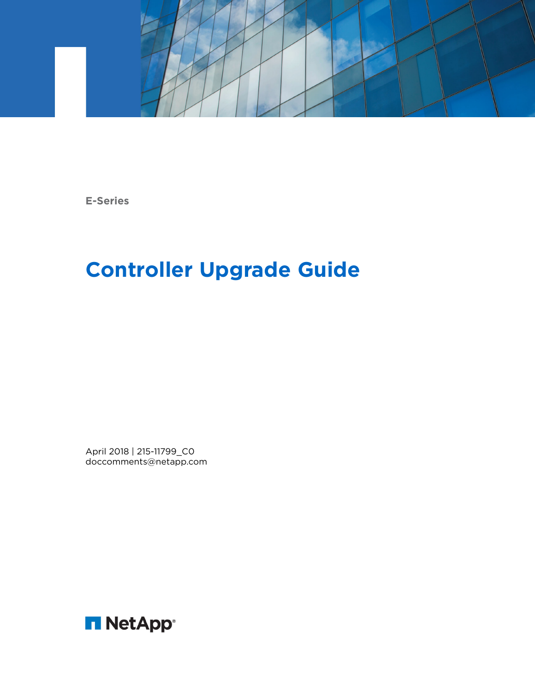

**E-Series**

# **Controller Upgrade Guide**

April 2018 | 215-11799\_C0 doccomments@netapp.com

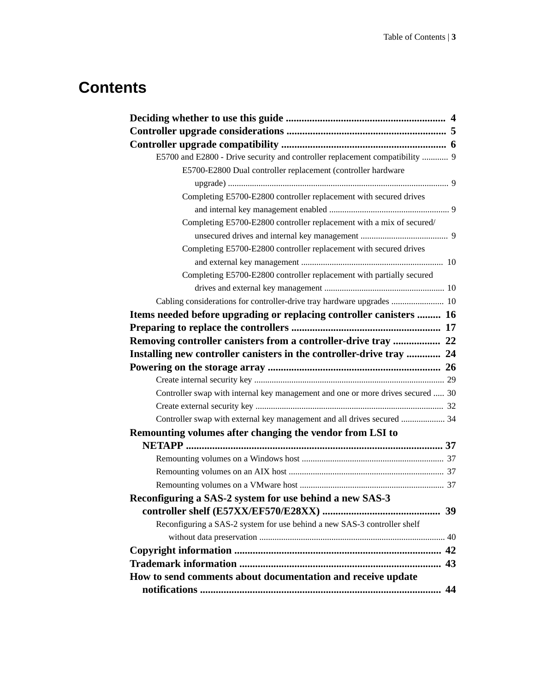## **Contents**

| E5700 and E2800 - Drive security and controller replacement compatibility  9    |    |
|---------------------------------------------------------------------------------|----|
| E5700-E2800 Dual controller replacement (controller hardware                    |    |
|                                                                                 |    |
| Completing E5700-E2800 controller replacement with secured drives               |    |
|                                                                                 |    |
| Completing E5700-E2800 controller replacement with a mix of secured/            |    |
|                                                                                 |    |
| Completing E5700-E2800 controller replacement with secured drives               |    |
|                                                                                 |    |
| Completing E5700-E2800 controller replacement with partially secured            |    |
|                                                                                 |    |
| Cabling considerations for controller-drive tray hardware upgrades  10          |    |
| Items needed before upgrading or replacing controller canisters  16             |    |
|                                                                                 |    |
| Removing controller canisters from a controller-drive tray  22                  |    |
| Installing new controller canisters in the controller-drive tray  24            |    |
|                                                                                 |    |
|                                                                                 |    |
| Controller swap with internal key management and one or more drives secured  30 |    |
|                                                                                 |    |
| Controller swap with external key management and all drives secured  34         |    |
| Remounting volumes after changing the vendor from LSI to                        |    |
|                                                                                 |    |
|                                                                                 |    |
|                                                                                 |    |
|                                                                                 |    |
| Reconfiguring a SAS-2 system for use behind a new SAS-3                         |    |
|                                                                                 | 39 |
| Reconfiguring a SAS-2 system for use behind a new SAS-3 controller shelf        |    |
|                                                                                 |    |
|                                                                                 |    |
|                                                                                 | 43 |
| How to send comments about documentation and receive update                     |    |
|                                                                                 |    |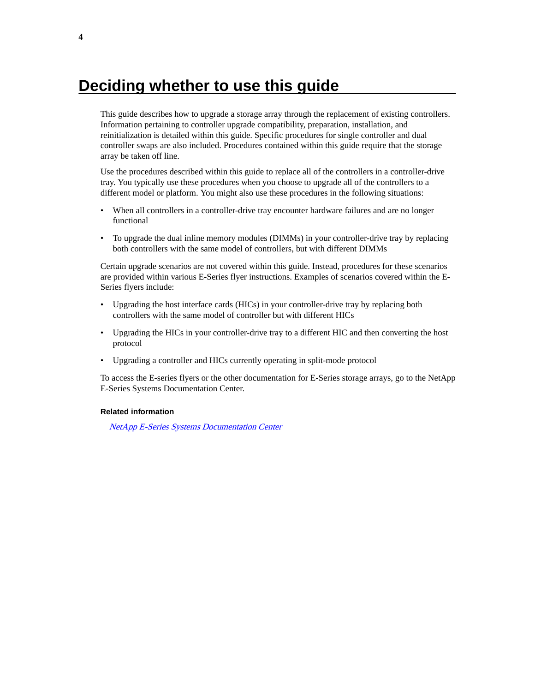## <span id="page-3-0"></span>**Deciding whether to use this guide**

This guide describes how to upgrade a storage array through the replacement of existing controllers. Information pertaining to controller upgrade compatibility, preparation, installation, and reinitialization is detailed within this guide. Specific procedures for single controller and dual controller swaps are also included. Procedures contained within this guide require that the storage array be taken off line.

Use the procedures described within this guide to replace all of the controllers in a controller-drive tray. You typically use these procedures when you choose to upgrade all of the controllers to a different model or platform. You might also use these procedures in the following situations:

- When all controllers in a controller-drive tray encounter hardware failures and are no longer functional
- To upgrade the dual inline memory modules (DIMMs) in your controller-drive tray by replacing both controllers with the same model of controllers, but with different DIMMs

Certain upgrade scenarios are not covered within this guide. Instead, procedures for these scenarios are provided within various E-Series flyer instructions. Examples of scenarios covered within the E-Series flyers include:

- Upgrading the host interface cards (HICs) in your controller-drive tray by replacing both controllers with the same model of controller but with different HICs
- Upgrading the HICs in your controller-drive tray to a different HIC and then converting the host protocol
- Upgrading a controller and HICs currently operating in split-mode protocol

To access the E-series flyers or the other documentation for E-Series storage arrays, go to the NetApp E-Series Systems Documentation Center.

#### **Related information**

[NetApp E-Series Systems Documentation Center](http://mysupport.netapp.com/info/web/ECMP1658252.html)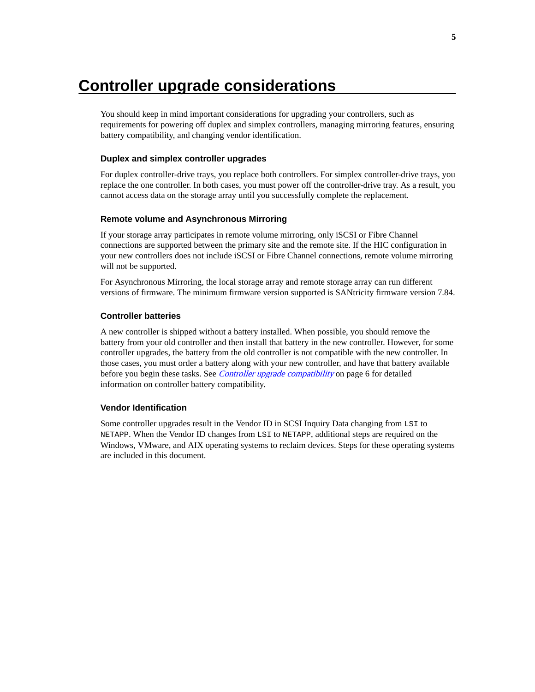## <span id="page-4-0"></span>**Controller upgrade considerations**

You should keep in mind important considerations for upgrading your controllers, such as requirements for powering off duplex and simplex controllers, managing mirroring features, ensuring battery compatibility, and changing vendor identification.

### **Duplex and simplex controller upgrades**

For duplex controller-drive trays, you replace both controllers. For simplex controller-drive trays, you replace the one controller. In both cases, you must power off the controller-drive tray. As a result, you cannot access data on the storage array until you successfully complete the replacement.

### **Remote volume and Asynchronous Mirroring**

If your storage array participates in remote volume mirroring, only iSCSI or Fibre Channel connections are supported between the primary site and the remote site. If the HIC configuration in your new controllers does not include iSCSI or Fibre Channel connections, remote volume mirroring will not be supported.

For Asynchronous Mirroring, the local storage array and remote storage array can run different versions of firmware. The minimum firmware version supported is SANtricity firmware version 7.84.

### **Controller batteries**

A new controller is shipped without a battery installed. When possible, you should remove the battery from your old controller and then install that battery in the new controller. However, for some controller upgrades, the battery from the old controller is not compatible with the new controller. In those cases, you must order a battery along with your new controller, and have that battery available before you begin these tasks. See [Controller upgrade compatibility](#page-5-0) on page 6 for detailed information on controller battery compatibility.

### **Vendor Identification**

Some controller upgrades result in the Vendor ID in SCSI Inquiry Data changing from LSI to NETAPP. When the Vendor ID changes from LSI to NETAPP, additional steps are required on the Windows, VMware, and AIX operating systems to reclaim devices. Steps for these operating systems are included in this document.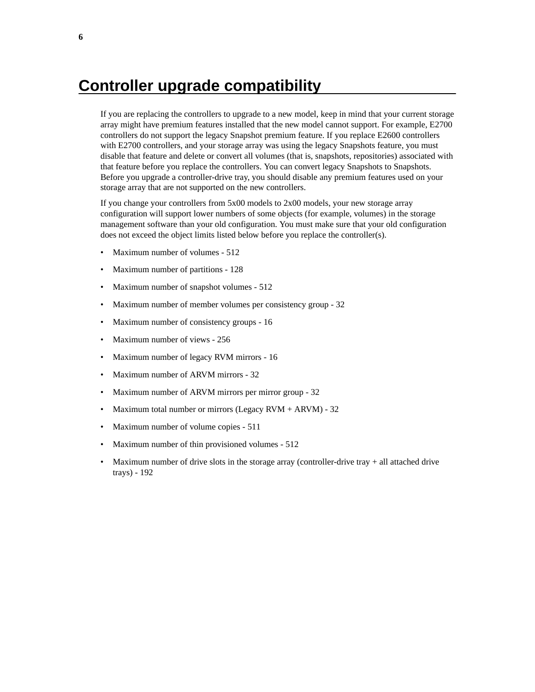## <span id="page-5-0"></span>**Controller upgrade compatibility**

If you are replacing the controllers to upgrade to a new model, keep in mind that your current storage array might have premium features installed that the new model cannot support. For example, E2700 controllers do not support the legacy Snapshot premium feature. If you replace E2600 controllers with E2700 controllers, and your storage array was using the legacy Snapshots feature, you must disable that feature and delete or convert all volumes (that is, snapshots, repositories) associated with that feature before you replace the controllers. You can convert legacy Snapshots to Snapshots. Before you upgrade a controller-drive tray, you should disable any premium features used on your storage array that are not supported on the new controllers.

If you change your controllers from 5x00 models to 2x00 models, your new storage array configuration will support lower numbers of some objects (for example, volumes) in the storage management software than your old configuration. You must make sure that your old configuration does not exceed the object limits listed below before you replace the controller(s).

- Maximum number of volumes 512
- Maximum number of partitions 128
- Maximum number of snapshot volumes 512
- Maximum number of member volumes per consistency group 32
- Maximum number of consistency groups 16
- Maximum number of views 256
- Maximum number of legacy RVM mirrors 16
- Maximum number of ARVM mirrors 32
- Maximum number of ARVM mirrors per mirror group 32
- Maximum total number or mirrors (Legacy  $RVM + ARVM$ ) 32
- Maximum number of volume copies 511
- Maximum number of thin provisioned volumes 512
- Maximum number of drive slots in the storage array (controller-drive tray  $+$  all attached drive trays) - 192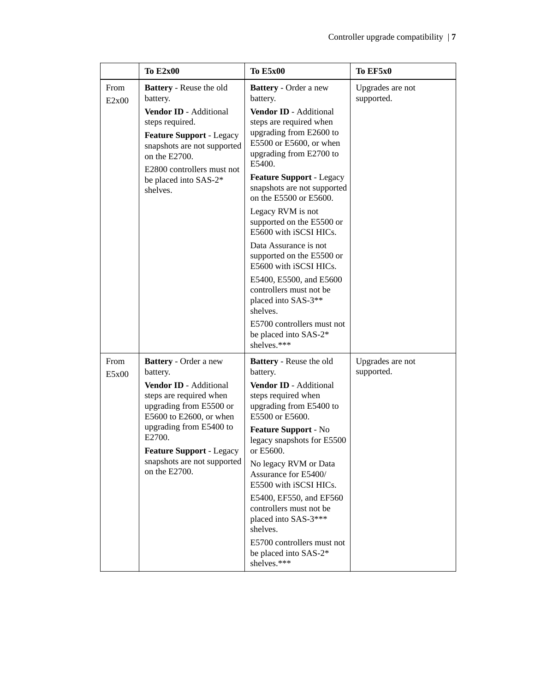|               | <b>To E2x00</b>                                                                                                                                                                                                                                               | <b>To E5x00</b>                                                                                                                                                                                                                                                                                                                                                                                                                                                                                                                                                                                                 | To EF5x0                       |
|---------------|---------------------------------------------------------------------------------------------------------------------------------------------------------------------------------------------------------------------------------------------------------------|-----------------------------------------------------------------------------------------------------------------------------------------------------------------------------------------------------------------------------------------------------------------------------------------------------------------------------------------------------------------------------------------------------------------------------------------------------------------------------------------------------------------------------------------------------------------------------------------------------------------|--------------------------------|
| From<br>E2x00 | <b>Battery</b> - Reuse the old<br>battery.<br>Vendor ID - Additional<br>steps required.<br><b>Feature Support - Legacy</b><br>snapshots are not supported<br>on the E2700.<br>E2800 controllers must not<br>be placed into SAS-2*<br>shelves.                 | <b>Battery</b> - Order a new<br>battery.<br>Vendor ID - Additional<br>steps are required when<br>upgrading from E2600 to<br>E5500 or E5600, or when<br>upgrading from E2700 to<br>E5400.<br><b>Feature Support - Legacy</b><br>snapshots are not supported<br>on the E5500 or E5600.<br>Legacy RVM is not<br>supported on the E5500 or<br>E5600 with iSCSI HICs.<br>Data Assurance is not<br>supported on the E5500 or<br>E5600 with iSCSI HICs.<br>E5400, E5500, and E5600<br>controllers must not be<br>placed into SAS-3**<br>shelves.<br>E5700 controllers must not<br>be placed into SAS-2*<br>shelves.*** | Upgrades are not<br>supported. |
| From<br>E5x00 | Battery - Order a new<br>battery.<br>Vendor ID - Additional<br>steps are required when<br>upgrading from E5500 or<br>E5600 to E2600, or when<br>upgrading from E5400 to<br>E2700.<br>Feature Support - Legacy<br>snapshots are not supported<br>on the E2700. | <b>Battery</b> - Reuse the old<br>battery.<br>Vendor ID - Additional<br>steps required when<br>upgrading from E5400 to<br>E5500 or E5600.<br>Feature Support - No<br>legacy snapshots for E5500<br>or E5600.<br>No legacy RVM or Data<br>Assurance for E5400/<br>E5500 with iSCSI HICs.<br>E5400, EF550, and EF560<br>controllers must not be<br>placed into SAS-3***<br>shelves.<br>E5700 controllers must not<br>be placed into SAS-2*<br>shelves.***                                                                                                                                                         | Upgrades are not<br>supported. |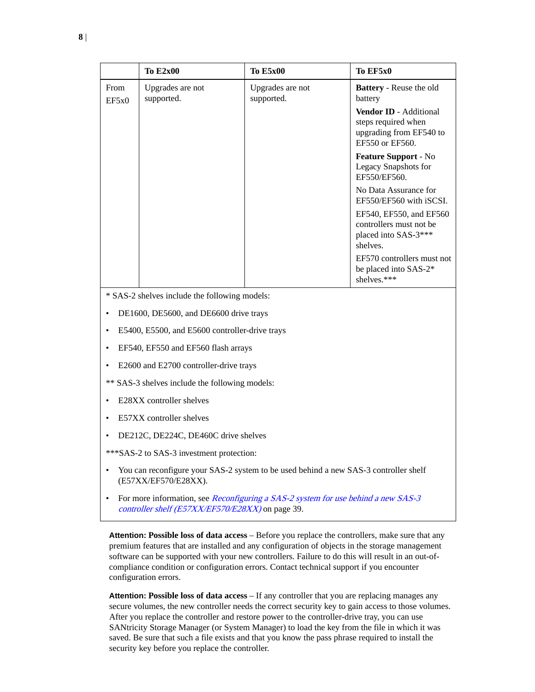|                                                                                                                                                           | <b>To E2x00</b>                                | <b>To E5x00</b>                | To EF5x0                                                                                    |  |
|-----------------------------------------------------------------------------------------------------------------------------------------------------------|------------------------------------------------|--------------------------------|---------------------------------------------------------------------------------------------|--|
| From<br>EF5x0                                                                                                                                             | Upgrades are not<br>supported.                 | Upgrades are not<br>supported. | <b>Battery</b> - Reuse the old<br>battery                                                   |  |
|                                                                                                                                                           |                                                |                                | Vendor ID - Additional<br>steps required when<br>upgrading from EF540 to<br>EF550 or EF560. |  |
|                                                                                                                                                           |                                                |                                | Feature Support - No<br>Legacy Snapshots for<br>EF550/EF560.                                |  |
|                                                                                                                                                           |                                                |                                | No Data Assurance for<br>EF550/EF560 with iSCSI.                                            |  |
|                                                                                                                                                           |                                                |                                | EF540, EF550, and EF560<br>controllers must not be<br>placed into SAS-3***<br>shelves.      |  |
|                                                                                                                                                           |                                                |                                | EF570 controllers must not<br>be placed into SAS-2*<br>shelves.***                          |  |
| * SAS-2 shelves include the following models:                                                                                                             |                                                |                                |                                                                                             |  |
| DE1600, DE5600, and DE6600 drive trays                                                                                                                    |                                                |                                |                                                                                             |  |
| $\bullet$                                                                                                                                                 | E5400, E5500, and E5600 controller-drive trays |                                |                                                                                             |  |
| ٠                                                                                                                                                         | EF540, EF550 and EF560 flash arrays            |                                |                                                                                             |  |
| $\bullet$                                                                                                                                                 | E2600 and E2700 controller-drive trays         |                                |                                                                                             |  |
|                                                                                                                                                           | ** SAS-3 shelves include the following models: |                                |                                                                                             |  |
| ٠                                                                                                                                                         | E28XX controller shelves                       |                                |                                                                                             |  |
| E57XX controller shelves<br>$\bullet$                                                                                                                     |                                                |                                |                                                                                             |  |
| DE212C, DE224C, DE460C drive shelves                                                                                                                      |                                                |                                |                                                                                             |  |
|                                                                                                                                                           | *** SAS-2 to SAS-3 investment protection:      |                                |                                                                                             |  |
| You can reconfigure your SAS-2 system to be used behind a new SAS-3 controller shelf<br>$\bullet$<br>(E57XX/EF570/E28XX).                                 |                                                |                                |                                                                                             |  |
| For more information, see <i>Reconfiguring a SAS-2 system for use behind a new SAS-3</i><br>$\bullet$<br>controller shelf (E57XX/EF570/E28XX) on page 39. |                                                |                                |                                                                                             |  |

**Attention: Possible loss of data access** – Before you replace the controllers, make sure that any premium features that are installed and any configuration of objects in the storage management software can be supported with your new controllers. Failure to do this will result in an out-ofcompliance condition or configuration errors. Contact technical support if you encounter configuration errors.

**Attention: Possible loss of data access** – If any controller that you are replacing manages any secure volumes, the new controller needs the correct security key to gain access to those volumes. After you replace the controller and restore power to the controller-drive tray, you can use SANtricity Storage Manager (or System Manager) to load the key from the file in which it was saved. Be sure that such a file exists and that you know the pass phrase required to install the security key before you replace the controller.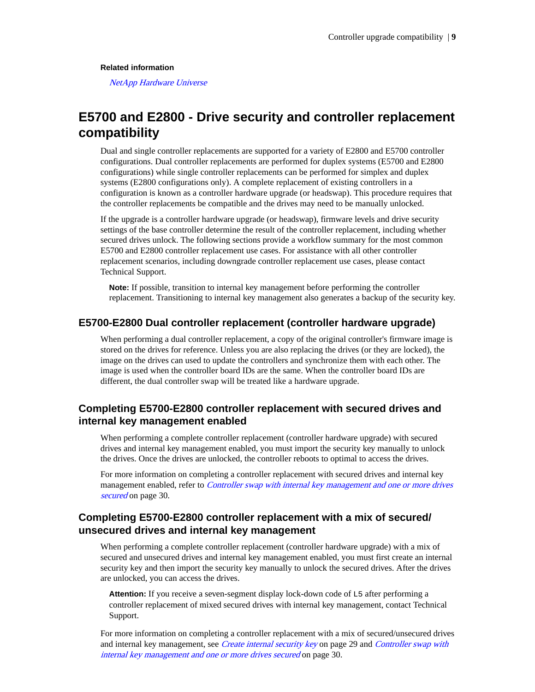### <span id="page-8-0"></span>**Related information**

[NetApp Hardware Universe](https://hwu.netapp.com)

### **E5700 and E2800 - Drive security and controller replacement compatibility**

Dual and single controller replacements are supported for a variety of E2800 and E5700 controller configurations. Dual controller replacements are performed for duplex systems (E5700 and E2800 configurations) while single controller replacements can be performed for simplex and duplex systems (E2800 configurations only). A complete replacement of existing controllers in a configuration is known as a controller hardware upgrade (or headswap). This procedure requires that the controller replacements be compatible and the drives may need to be manually unlocked.

If the upgrade is a controller hardware upgrade (or headswap), firmware levels and drive security settings of the base controller determine the result of the controller replacement, including whether secured drives unlock. The following sections provide a workflow summary for the most common E5700 and E2800 controller replacement use cases. For assistance with all other controller replacement scenarios, including downgrade controller replacement use cases, please contact Technical Support.

**Note:** If possible, transition to internal key management before performing the controller replacement. Transitioning to internal key management also generates a backup of the security key.

### **E5700-E2800 Dual controller replacement (controller hardware upgrade)**

When performing a dual controller replacement, a copy of the original controller's firmware image is stored on the drives for reference. Unless you are also replacing the drives (or they are locked), the image on the drives can used to update the controllers and synchronize them with each other. The image is used when the controller board IDs are the same. When the controller board IDs are different, the dual controller swap will be treated like a hardware upgrade.

### **Completing E5700-E2800 controller replacement with secured drives and internal key management enabled**

When performing a complete controller replacement (controller hardware upgrade) with secured drives and internal key management enabled, you must import the security key manually to unlock the drives. Once the drives are unlocked, the controller reboots to optimal to access the drives.

For more information on completing a controller replacement with secured drives and internal key management enabled, refer to *[Controller swap with internal key management and one or more drives](#page-29-0)* [secured](#page-29-0) on page 30.

### **Completing E5700-E2800 controller replacement with a mix of secured/ unsecured drives and internal key management**

When performing a complete controller replacement (controller hardware upgrade) with a mix of secured and unsecured drives and internal key management enabled, you must first create an internal security key and then import the security key manually to unlock the secured drives. After the drives are unlocked, you can access the drives.

**Attention:** If you receive a seven-segment display lock-down code of L5 after performing a controller replacement of mixed secured drives with internal key management, contact Technical Support.

For more information on completing a controller replacement with a mix of secured/unsecured drives and internal key management, see [Create internal security key](#page-28-0) on page 29 and [Controller swap with](#page-29-0) [internal key management and one or more drives secured](#page-29-0) on page 30.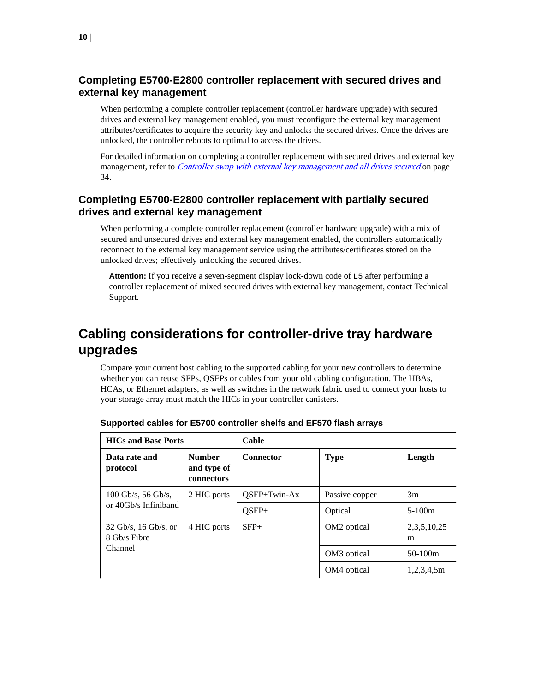### <span id="page-9-0"></span>**Completing E5700-E2800 controller replacement with secured drives and external key management**

When performing a complete controller replacement (controller hardware upgrade) with secured drives and external key management enabled, you must reconfigure the external key management attributes/certificates to acquire the security key and unlocks the secured drives. Once the drives are unlocked, the controller reboots to optimal to access the drives.

For detailed information on completing a controller replacement with secured drives and external key management, refer to *[Controller swap with external key management and all drives secured](#page-33-0)* on page 34.

### **Completing E5700-E2800 controller replacement with partially secured drives and external key management**

When performing a complete controller replacement (controller hardware upgrade) with a mix of secured and unsecured drives and external key management enabled, the controllers automatically reconnect to the external key management service using the attributes/certificates stored on the unlocked drives; effectively unlocking the secured drives.

**Attention:** If you receive a seven-segment display lock-down code of L5 after performing a controller replacement of mixed secured drives with external key management, contact Technical Support.

## **Cabling considerations for controller-drive tray hardware upgrades**

Compare your current host cabling to the supported cabling for your new controllers to determine whether you can reuse SFPs, QSFPs or cables from your old cabling configuration. The HBAs, HCAs, or Ethernet adapters, as well as switches in the network fabric used to connect your hosts to your storage array must match the HICs in your controller canisters.

| <b>HICs and Base Ports</b>             |                                            | Cable            |                         |                      |
|----------------------------------------|--------------------------------------------|------------------|-------------------------|----------------------|
| Data rate and<br>protocol              | <b>Number</b><br>and type of<br>connectors | <b>Connector</b> | <b>Type</b>             | Length               |
| $100 \text{Gb/s}, 56 \text{Gb/s},$     | 2 HIC ports                                | $OSFP+Twin-Ax$   | Passive copper          | 3m                   |
| or 40Gb/s Infiniband                   |                                            | $OSFP+$          | Optical                 | $5-100m$             |
| $32$ Gb/s, 16 Gb/s, or<br>8 Gb/s Fibre | 4 HIC ports                                | $SFP+$           | OM <sub>2</sub> optical | 2, 3, 5, 10, 25<br>m |
| Channel                                |                                            |                  | OM <sub>3</sub> optical | $50-100m$            |
|                                        |                                            |                  | OM4 optical             | 1,2,3,4,5m           |

| Supported cables for E5700 controller shelfs and EF570 flash arrays |
|---------------------------------------------------------------------|
|---------------------------------------------------------------------|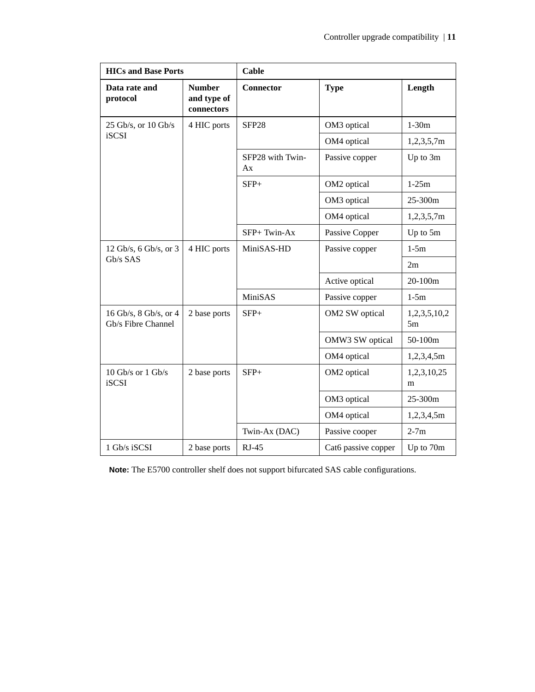| <b>HICs and Base Ports</b>                  |                                            | Cable                  |                     |                    |
|---------------------------------------------|--------------------------------------------|------------------------|---------------------|--------------------|
| Data rate and<br>protocol                   | <b>Number</b><br>and type of<br>connectors | <b>Connector</b>       | <b>Type</b>         | Length             |
| 25 Gb/s, or 10 Gb/s                         | 4 HIC ports                                | SFP <sub>28</sub>      | OM3 optical         | $1-30m$            |
| <b>iSCSI</b>                                |                                            |                        | OM4 optical         | 1,2,3,5,7m         |
|                                             |                                            | SFP28 with Twin-<br>Ax | Passive copper      | Up to 3m           |
|                                             |                                            | $SFP+$                 | OM2 optical         | $1-25m$            |
|                                             |                                            |                        | OM3 optical         | 25-300m            |
|                                             |                                            |                        | OM4 optical         | 1,2,3,5,7m         |
|                                             |                                            | SFP+Twin-Ax            | Passive Copper      | Up to 5m           |
| 12 Gb/s, 6 Gb/s, or 3                       | 4 HIC ports                                | MiniSAS-HD             | Passive copper      | $1-5m$             |
| Gb/s SAS                                    |                                            |                        |                     | 2m                 |
|                                             |                                            |                        | Active optical      | 20-100m            |
|                                             |                                            | MiniSAS                | Passive copper      | $1-5m$             |
| 16 Gb/s, 8 Gb/s, or 4<br>Gb/s Fibre Channel | 2 base ports                               | $SFP+$                 | OM2 SW optical      | 1,2,3,5,10,2<br>5m |
|                                             |                                            |                        | OMW3 SW optical     | 50-100m            |
|                                             |                                            |                        | OM4 optical         | 1,2,3,4,5m         |
| $10$ Gb/s or $1$ Gb/s<br><b>iSCSI</b>       | 2 base ports                               | $SFP+$                 | OM2 optical         | 1,2,3,10,25<br>m   |
|                                             |                                            |                        | OM3 optical         | 25-300m            |
|                                             |                                            |                        | OM4 optical         | 1,2,3,4,5m         |
|                                             |                                            | Twin-Ax (DAC)          | Passive cooper      | $2-7m$             |
| 1 Gb/s iSCSI                                | 2 base ports                               | $RJ-45$                | Cat6 passive copper | Up to 70m          |

**Note:** The E5700 controller shelf does not support bifurcated SAS cable configurations.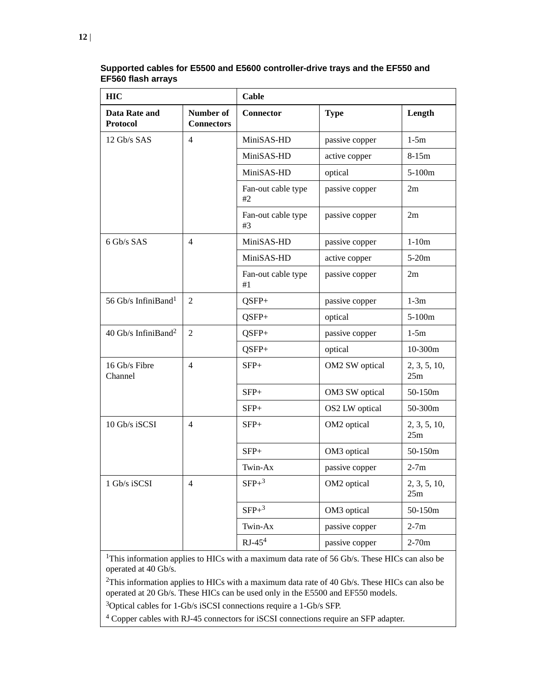| <b>HIC</b>                        |                                | Cable                    |                |                     |
|-----------------------------------|--------------------------------|--------------------------|----------------|---------------------|
| Data Rate and<br><b>Protocol</b>  | Number of<br><b>Connectors</b> | <b>Connector</b>         | <b>Type</b>    | Length              |
| 12 Gb/s SAS                       | $\overline{4}$                 | MiniSAS-HD               | passive copper | $1-5m$              |
|                                   |                                | MiniSAS-HD               | active copper  | $8-15m$             |
|                                   |                                | MiniSAS-HD               | optical        | $5-100m$            |
|                                   |                                | Fan-out cable type<br>#2 | passive copper | 2m                  |
|                                   |                                | Fan-out cable type<br>#3 | passive copper | 2m                  |
| 6 Gb/s SAS                        | $\overline{4}$                 | MiniSAS-HD               | passive copper | $1-10m$             |
|                                   |                                | MiniSAS-HD               | active copper  | $5-20m$             |
|                                   |                                | Fan-out cable type<br>#1 | passive copper | 2m                  |
| 56 Gb/s InfiniBand <sup>1</sup>   | $\overline{2}$                 | $QSFP+$                  | passive copper | $1-3m$              |
|                                   |                                | QSFP+                    | optical        | $5-100m$            |
| $40$ Gb/s InfiniBand <sup>2</sup> | $\overline{2}$                 | QSFP+                    | passive copper | $1-5m$              |
|                                   |                                | QSFP+                    | optical        | 10-300m             |
| 16 Gb/s Fibre<br>Channel          | $\overline{4}$                 | $SFP+$                   | OM2 SW optical | 2, 3, 5, 10,<br>25m |
|                                   |                                | $SFP+$                   | OM3 SW optical | 50-150m             |
|                                   |                                | $SFP+$                   | OS2 LW optical | 50-300m             |
| 10 Gb/s iSCSI                     | $\overline{4}$                 | $SFP+$                   | OM2 optical    | 2, 3, 5, 10,<br>25m |
|                                   |                                | $SFP+$                   | OM3 optical    | 50-150m             |
|                                   |                                | Twin-Ax                  | passive copper | $2-7m$              |
| 1 Gb/s iSCSI                      | $\overline{4}$                 | $\rm SFP+^3$             | OM2 optical    | 2, 3, 5, 10,<br>25m |
|                                   |                                | $SFP+^3$                 | OM3 optical    | 50-150m             |
|                                   |                                | Twin-Ax                  | passive copper | $2-7m$              |
|                                   |                                | $RJ-454$                 | passive copper | $2-70m$             |

**Supported cables for E5500 and E5600 controller-drive trays and the EF550 and EF560 flash arrays**

<sup>1</sup>This information applies to HICs with a maximum data rate of 56 Gb/s. These HICs can also be operated at 40 Gb/s.

<sup>2</sup>This information applies to HICs with a maximum data rate of 40 Gb/s. These HICs can also be operated at 20 Gb/s. These HICs can be used only in the E5500 and EF550 models.

<sup>3</sup>Optical cables for 1-Gb/s iSCSI connections require a 1-Gb/s SFP.

<sup>4</sup> Copper cables with RJ-45 connectors for iSCSI connections require an SFP adapter.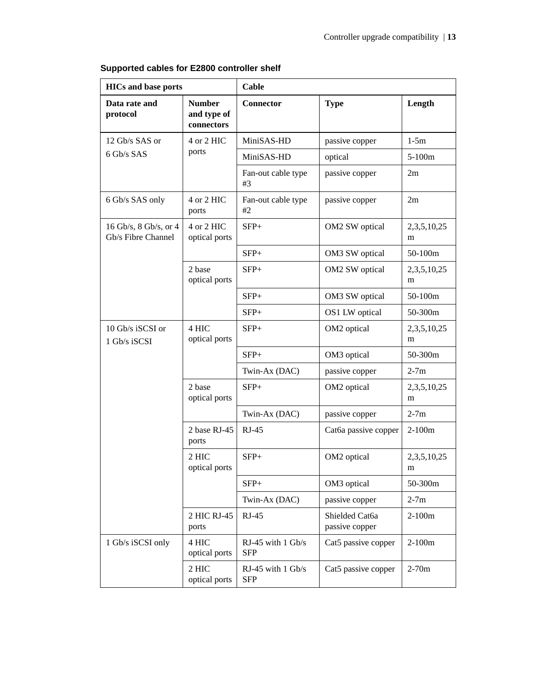| <b>HICs and base ports</b>                  |                                            | Cable                             |                                  |                  |
|---------------------------------------------|--------------------------------------------|-----------------------------------|----------------------------------|------------------|
| Data rate and<br>protocol                   | <b>Number</b><br>and type of<br>connectors | <b>Connector</b>                  | <b>Type</b>                      | Length           |
| 12 Gb/s SAS or                              | 4 or 2 HIC                                 | MiniSAS-HD                        | passive copper                   | $1-5m$           |
| 6 Gb/s SAS                                  | ports                                      | MiniSAS-HD                        | optical                          | 5-100m           |
|                                             |                                            | Fan-out cable type<br>#3          | passive copper                   | 2m               |
| 6 Gb/s SAS only                             | 4 or 2 HIC<br>ports                        | Fan-out cable type<br>#2          | passive copper                   | 2m               |
| 16 Gb/s, 8 Gb/s, or 4<br>Gb/s Fibre Channel | 4 or 2 HIC<br>optical ports                | $SFP+$                            | OM2 SW optical                   | 2,3,5,10,25<br>m |
|                                             |                                            | $SFP+$                            | OM3 SW optical                   | 50-100m          |
|                                             | 2 base<br>optical ports                    | $SFP+$                            | OM2 SW optical                   | 2,3,5,10,25<br>m |
|                                             |                                            | $SFP+$                            | OM3 SW optical                   | 50-100m          |
|                                             |                                            |                                   | OS1 LW optical                   | 50-300m          |
| 10 Gb/s iSCSI or<br>1 Gb/s iSCSI            | 4 HIC<br>optical ports                     | $SFP+$                            | OM2 optical                      | 2,3,5,10,25<br>m |
|                                             |                                            | $SFP+$                            | OM3 optical                      | 50-300m          |
|                                             |                                            | Twin-Ax (DAC)                     | passive copper                   | $2-7m$           |
|                                             | 2 base<br>optical ports                    | $SFP+$                            | OM2 optical                      | 2,3,5,10,25<br>m |
|                                             |                                            | Twin-Ax (DAC)                     | passive copper                   | $2-7m$           |
|                                             | 2 base RJ-45<br>ports                      | $RJ-45$                           | Cat6a passive copper             | $2-100m$         |
|                                             | 2 HIC<br>optical ports                     | $SFP+$                            | OM2 optical                      | 2,3,5,10,25<br>m |
|                                             |                                            | $SFP+$                            | OM3 optical                      | 50-300m          |
|                                             |                                            | Twin-Ax (DAC)                     | passive copper                   | $2-7m$           |
|                                             | 2 HIC RJ-45<br>ports                       | $RJ-45$                           | Shielded Cat6a<br>passive copper | $2-100m$         |
| 1 Gb/s iSCSI only                           | 4 HIC<br>optical ports                     | RJ-45 with $1$ Gb/s<br><b>SFP</b> | Cat5 passive copper              | $2-100m$         |
|                                             | 2 HIC<br>optical ports                     | RJ-45 with $1$ Gb/s<br><b>SFP</b> | Cat5 passive copper              | $2-70m$          |

**Supported cables for E2800 controller shelf**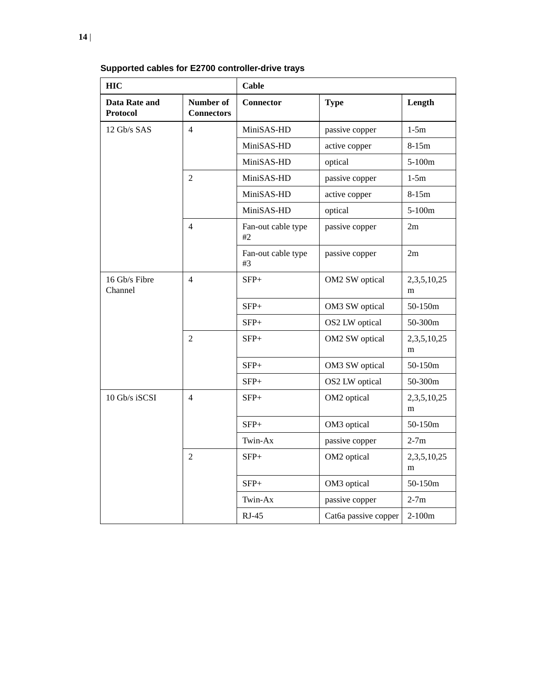| <b>HIC</b>                       |                                | Cable                    |                      |                  |
|----------------------------------|--------------------------------|--------------------------|----------------------|------------------|
| Data Rate and<br><b>Protocol</b> | Number of<br><b>Connectors</b> | <b>Connector</b>         | <b>Type</b>          | Length           |
| 12 Gb/s SAS                      | $\overline{4}$                 | MiniSAS-HD               | passive copper       | $1-5m$           |
|                                  |                                | MiniSAS-HD               | active copper        | $8 - 15m$        |
|                                  |                                | MiniSAS-HD               | optical              | $5-100m$         |
|                                  | $\overline{2}$                 | MiniSAS-HD               | passive copper       | $1-5m$           |
|                                  |                                | MiniSAS-HD               | active copper        | $8-15m$          |
|                                  |                                | MiniSAS-HD               | optical              | $5-100m$         |
|                                  | $\overline{4}$                 | Fan-out cable type<br>#2 | passive copper       | 2m               |
|                                  |                                | Fan-out cable type<br>#3 | passive copper       | 2m               |
| 16 Gb/s Fibre<br>Channel         | $\overline{4}$                 | $SFP+$                   | OM2 SW optical       | 2,3,5,10,25<br>m |
|                                  |                                | $SFP+$                   | OM3 SW optical       | 50-150m          |
|                                  |                                | $SFP+$                   | OS2 LW optical       | 50-300m          |
|                                  | $\overline{2}$                 | $SFP+$                   | OM2 SW optical       | 2,3,5,10,25<br>m |
|                                  |                                | $SFP+$                   | OM3 SW optical       | 50-150m          |
|                                  |                                | $SFP+$                   | OS2 LW optical       | 50-300m          |
| 10 Gb/s iSCSI                    | $\overline{4}$                 | $SFP+$                   | OM2 optical          | 2,3,5,10,25<br>m |
|                                  |                                | $SFP+$                   | OM3 optical          | 50-150m          |
|                                  |                                | Twin-Ax                  | passive copper       | $2-7m$           |
|                                  | $\overline{2}$                 | $SFP+$                   | OM2 optical          | 2,3,5,10,25<br>m |
|                                  |                                | $SFP+$                   | OM3 optical          | 50-150m          |
|                                  |                                | Twin-Ax                  | passive copper       | $2-7m$           |
|                                  |                                | $RJ-45$                  | Cat6a passive copper | $2-100m$         |

**Supported cables for E2700 controller-drive trays**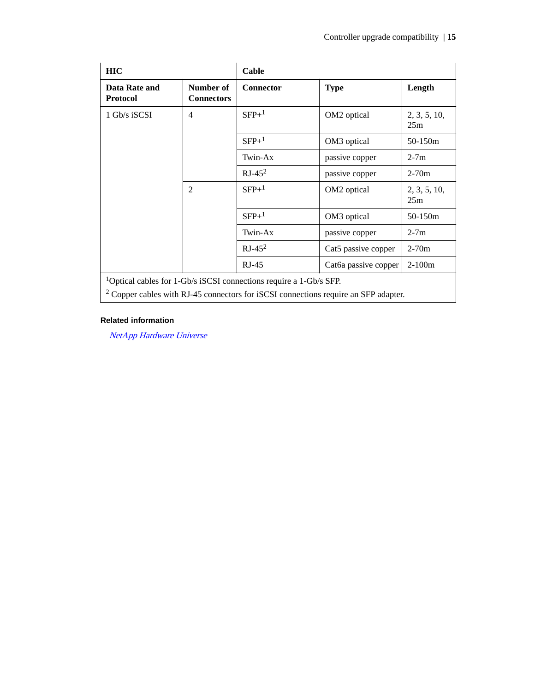| <b>HIC</b>                                                                            |                                | Cable     |                      |                     |
|---------------------------------------------------------------------------------------|--------------------------------|-----------|----------------------|---------------------|
| Data Rate and<br><b>Protocol</b>                                                      | Number of<br><b>Connectors</b> | Connector | <b>Type</b>          | Length              |
| 1 Gb/s iSCSI                                                                          | $\overline{4}$                 | $SFP+1$   | OM2 optical          | 2, 3, 5, 10,<br>25m |
|                                                                                       |                                | $SFP+1$   | OM3 optical          | 50-150m             |
|                                                                                       |                                | Twin-Ax   | passive copper       | $2-7m$              |
|                                                                                       |                                | $RJ-452$  | passive copper       | $2-70m$             |
|                                                                                       | $\overline{2}$                 | $SFP+1$   | OM2 optical          | 2, 3, 5, 10,<br>25m |
|                                                                                       |                                | $SFP+1$   | OM3 optical          | 50-150m             |
|                                                                                       |                                | Twin-Ax   | passive copper       | $2-7m$              |
|                                                                                       |                                | $RJ-452$  | Cat5 passive copper  | $2 - 70m$           |
|                                                                                       |                                | $RJ-45$   | Cat6a passive copper | $2-100m$            |
| <sup>1</sup> Optical cables for 1-Gb/s iSCSI connections require a 1-Gb/s SFP.        |                                |           |                      |                     |
| $2$ Copper cables with RJ-45 connectors for iSCSI connections require an SFP adapter. |                                |           |                      |                     |

### **Related information**

[NetApp Hardware Universe](https://hwu.netapp.com)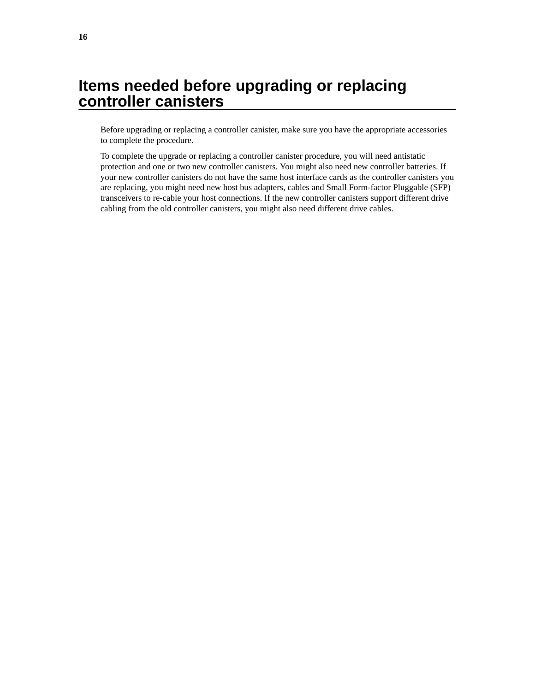## <span id="page-15-0"></span>**Items needed before upgrading or replacing controller canisters**

Before upgrading or replacing a controller canister, make sure you have the appropriate accessories to complete the procedure.

To complete the upgrade or replacing a controller canister procedure, you will need antistatic protection and one or two new controller canisters. You might also need new controller batteries. If your new controller canisters do not have the same host interface cards as the controller canisters you are replacing, you might need new host bus adapters, cables and Small Form-factor Pluggable (SFP) transceivers to re-cable your host connections. If the new controller canisters support different drive cabling from the old controller canisters, you might also need different drive cables.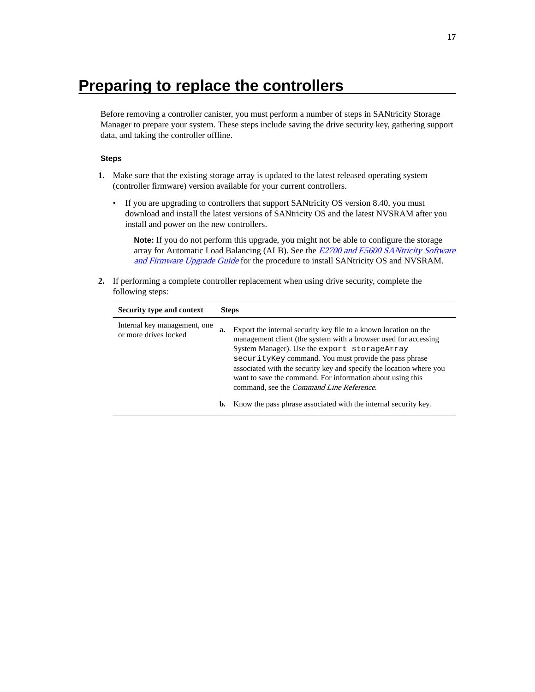## <span id="page-16-0"></span>**Preparing to replace the controllers**

Before removing a controller canister, you must perform a number of steps in SANtricity Storage Manager to prepare your system. These steps include saving the drive security key, gathering support data, and taking the controller offline.

### **Steps**

- **1.** Make sure that the existing storage array is updated to the latest released operating system (controller firmware) version available for your current controllers.
	- If you are upgrading to controllers that support SANtricity OS version 8.40, you must download and install the latest versions of SANtricity OS and the latest NVSRAM after you install and power on the new controllers.

**Note:** If you do not perform this upgrade, you might not be able to configure the storage array for Automatic Load Balancing (ALB). See the *[E2700 and E5600 SANtricity Software](https://library.netapp.com/ecm/ecm_download_file/ECMLP2601342)* [and Firmware Upgrade Guide](https://library.netapp.com/ecm/ecm_download_file/ECMLP2601342) for the procedure to install SANtricity OS and NVSRAM.

**2.** If performing a complete controller replacement when using drive security, complete the following steps:

| Security type and context                             |    | <b>Steps</b>                                                                                                                                                                                                                                                                                                                                                                                                                           |
|-------------------------------------------------------|----|----------------------------------------------------------------------------------------------------------------------------------------------------------------------------------------------------------------------------------------------------------------------------------------------------------------------------------------------------------------------------------------------------------------------------------------|
| Internal key management, one<br>or more drives locked | a. | Export the internal security key file to a known location on the<br>management client (the system with a browser used for accessing<br>System Manager). Use the export storageArray<br>security Key command. You must provide the pass phrase<br>associated with the security key and specify the location where you<br>want to save the command. For information about using this<br>command, see the <i>Command Line Reference</i> . |
|                                                       | b. | Know the pass phrase associated with the internal security key.                                                                                                                                                                                                                                                                                                                                                                        |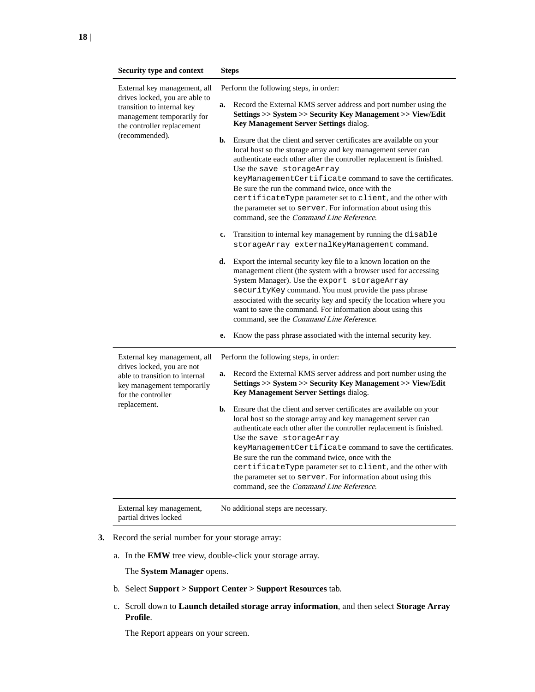| <b>Security type and context</b>                                                                                                                         | <b>Steps</b>                                                                                                                                                                                                                                                                                                                                                                                                                                                                                                                                            |
|----------------------------------------------------------------------------------------------------------------------------------------------------------|---------------------------------------------------------------------------------------------------------------------------------------------------------------------------------------------------------------------------------------------------------------------------------------------------------------------------------------------------------------------------------------------------------------------------------------------------------------------------------------------------------------------------------------------------------|
| External key management, all<br>drives locked, you are able to<br>transition to internal key<br>management temporarily for<br>the controller replacement | Perform the following steps, in order:<br>Record the External KMS server address and port number using the<br>a.<br>Settings >> System >> Security Key Management >> View/Edit<br>Key Management Server Settings dialog.                                                                                                                                                                                                                                                                                                                                |
| (recommended).                                                                                                                                           | b.<br>Ensure that the client and server certificates are available on your<br>local host so the storage array and key management server can<br>authenticate each other after the controller replacement is finished.<br>Use the save storageArray<br>keyManagementCertificate command to save the certificates.<br>Be sure the run the command twice, once with the<br>certificateType parameter set to client, and the other with<br>the parameter set to server. For information about using this<br>command, see the <i>Command Line Reference</i> . |
|                                                                                                                                                          | Transition to internal key management by running the disable<br>c.<br>storageArray externalKeyManagement command.                                                                                                                                                                                                                                                                                                                                                                                                                                       |
|                                                                                                                                                          | Export the internal security key file to a known location on the<br>d.<br>management client (the system with a browser used for accessing<br>System Manager). Use the export storageArray<br>securityKey command. You must provide the pass phrase<br>associated with the security key and specify the location where you<br>want to save the command. For information about using this<br>command, see the Command Line Reference.                                                                                                                     |
|                                                                                                                                                          | Know the pass phrase associated with the internal security key.<br>е.                                                                                                                                                                                                                                                                                                                                                                                                                                                                                   |
| External key management, all                                                                                                                             | Perform the following steps, in order:                                                                                                                                                                                                                                                                                                                                                                                                                                                                                                                  |
| drives locked, you are not<br>able to transition to internal<br>key management temporarily<br>for the controller                                         | Record the External KMS server address and port number using the<br>a.<br>Settings >> System >> Security Key Management >> View/Edit<br>Key Management Server Settings dialog.                                                                                                                                                                                                                                                                                                                                                                          |
| replacement.                                                                                                                                             | Ensure that the client and server certificates are available on your<br>b.<br>local host so the storage array and key management server can<br>authenticate each other after the controller replacement is finished.<br>Use the save storageArray<br>keyManagementCertificate command to save the certificates.<br>Be sure the run the command twice, once with the<br>certificateType parameter set to client, and the other with<br>the parameter set to server. For information about using this<br>command, see the Command Line Reference.         |
| External key management,<br>partial drives locked                                                                                                        | No additional steps are necessary.                                                                                                                                                                                                                                                                                                                                                                                                                                                                                                                      |

- **3.** Record the serial number for your storage array:
	- a. In the **EMW** tree view, double-click your storage array.

The **System Manager** opens.

- b. Select **Support > Support Center > Support Resources** tab.
- c. Scroll down to **Launch detailed storage array information**, and then select **Storage Array Profile**.

The Report appears on your screen.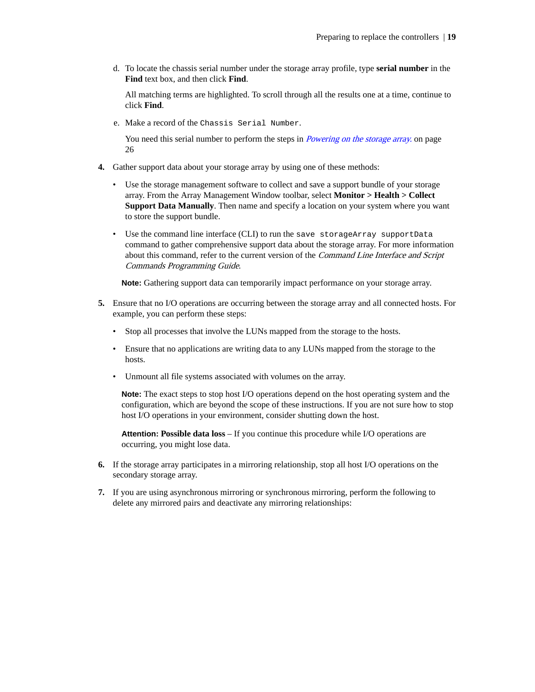d. To locate the chassis serial number under the storage array profile, type **serial number** in the **Find** text box, and then click **Find**.

All matching terms are highlighted. To scroll through all the results one at a time, continue to click **Find**.

e. Make a record of the Chassis Serial Number.

You need this serial number to perform the steps in *Powering on the storage array*. on page 26

- **4.** Gather support data about your storage array by using one of these methods:
	- Use the storage management software to collect and save a support bundle of your storage array. From the Array Management Window toolbar, select **Monitor > Health > Collect Support Data Manually**. Then name and specify a location on your system where you want to store the support bundle.
	- Use the command line interface (CLI) to run the save storageArray supportData command to gather comprehensive support data about the storage array. For more information about this command, refer to the current version of the *Command Line Interface and Script* Commands Programming Guide.

**Note:** Gathering support data can temporarily impact performance on your storage array.

- **5.** Ensure that no I/O operations are occurring between the storage array and all connected hosts. For example, you can perform these steps:
	- Stop all processes that involve the LUNs mapped from the storage to the hosts.
	- Ensure that no applications are writing data to any LUNs mapped from the storage to the hosts.
	- Unmount all file systems associated with volumes on the array.

**Note:** The exact steps to stop host I/O operations depend on the host operating system and the configuration, which are beyond the scope of these instructions. If you are not sure how to stop host I/O operations in your environment, consider shutting down the host.

**Attention: Possible data loss** – If you continue this procedure while I/O operations are occurring, you might lose data.

- **6.** If the storage array participates in a mirroring relationship, stop all host I/O operations on the secondary storage array.
- **7.** If you are using asynchronous mirroring or synchronous mirroring, perform the following to delete any mirrored pairs and deactivate any mirroring relationships: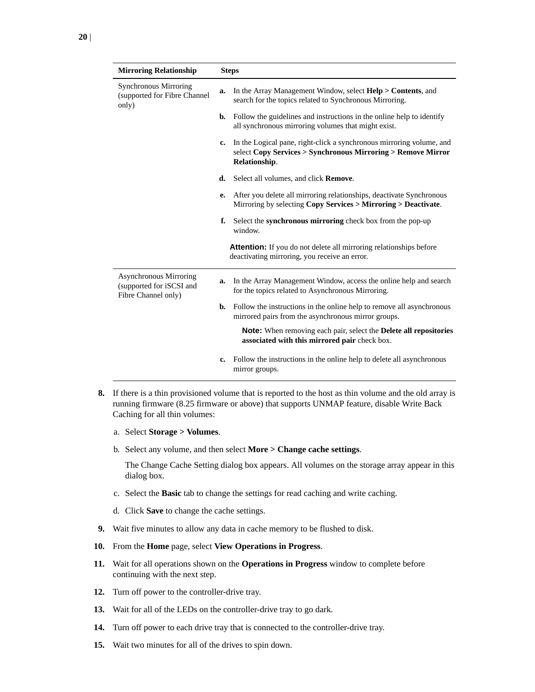| <b>Mirroring Relationship</b>                                             |               | <b>Steps</b>                                                                                                                                          |
|---------------------------------------------------------------------------|---------------|-------------------------------------------------------------------------------------------------------------------------------------------------------|
| Synchronous Mirroring<br>(supported for Fibre Channel<br>only)            | a.            | In the Array Management Window, select <b>Help &gt; Contents</b> , and<br>search for the topics related to Synchronous Mirroring.                     |
|                                                                           | b.            | Follow the guidelines and instructions in the online help to identify<br>all synchronous mirroring volumes that might exist.                          |
|                                                                           | $c_{\bullet}$ | In the Logical pane, right-click a synchronous mirroring volume, and<br>select Copy Services > Synchronous Mirroring > Remove Mirror<br>Relationship. |
|                                                                           | d.            | Select all volumes, and click <b>Remove</b> .                                                                                                         |
|                                                                           | е.            | After you delete all mirroring relationships, deactivate Synchronous<br>Mirroring by selecting Copy Services > Mirroring > Deactivate.                |
|                                                                           | f.            | Select the <b>synchronous mirroring</b> check box from the pop-up<br>window.                                                                          |
|                                                                           |               | <b>Attention:</b> If you do not delete all mirroring relationships before<br>deactivating mirroring, you receive an error.                            |
| Asynchronous Mirroring<br>(supported for iSCSI and<br>Fibre Channel only) | a.            | In the Array Management Window, access the online help and search<br>for the topics related to Asynchronous Mirroring.                                |
|                                                                           | b.            | Follow the instructions in the online help to remove all asynchronous<br>mirrored pairs from the asynchronous mirror groups.                          |
|                                                                           |               | <b>Note:</b> When removing each pair, select the <b>Delete all repositories</b><br>associated with this mirrored pair check box.                      |
|                                                                           | c.            | Follow the instructions in the online help to delete all asynchronous<br>mirror groups.                                                               |

- **8.** If there is a thin provisioned volume that is reported to the host as thin volume and the old array is running firmware (8.25 firmware or above) that supports UNMAP feature, disable Write Back Caching for all thin volumes:
	- a. Select **Storage > Volumes**.
	- b. Select any volume, and then select **More > Change cache settings**.

The Change Cache Setting dialog box appears. All volumes on the storage array appear in this dialog box.

- c. Select the **Basic** tab to change the settings for read caching and write caching.
- d. Click **Save** to change the cache settings.
- **9.** Wait five minutes to allow any data in cache memory to be flushed to disk.
- **10.** From the **Home** page, select **View Operations in Progress**.
- **11.** Wait for all operations shown on the **Operations in Progress** window to complete before continuing with the next step.
- **12.** Turn off power to the controller-drive tray.
- **13.** Wait for all of the LEDs on the controller-drive tray to go dark.
- **14.** Turn off power to each drive tray that is connected to the controller-drive tray.
- **15.** Wait two minutes for all of the drives to spin down.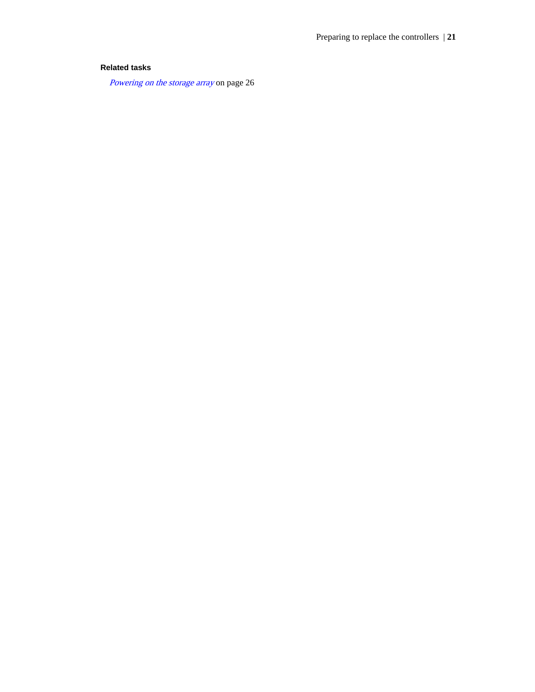### **Related tasks**

[Powering on the storage array](#page-25-0) on page 26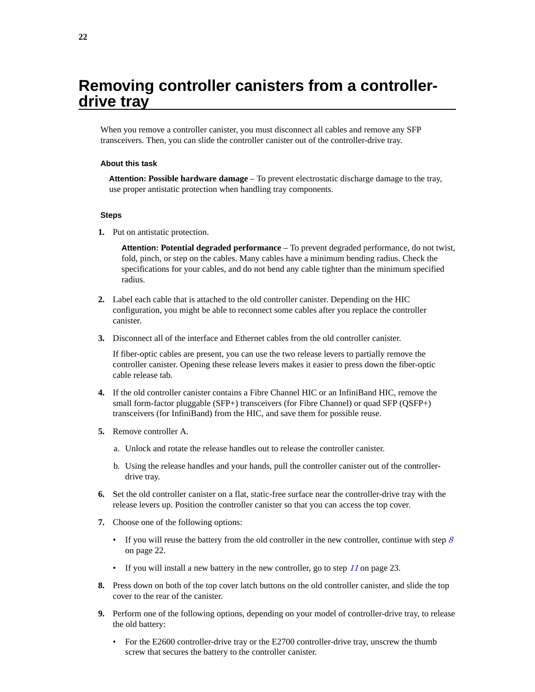## <span id="page-21-0"></span>**Removing controller canisters from a controllerdrive tray**

When you remove a controller canister, you must disconnect all cables and remove any SFP transceivers. Then, you can slide the controller canister out of the controller-drive tray.

#### **About this task**

**Attention: Possible hardware damage** – To prevent electrostatic discharge damage to the tray, use proper antistatic protection when handling tray components.

### **Steps**

**1.** Put on antistatic protection.

**Attention: Potential degraded performance** – To prevent degraded performance, do not twist, fold, pinch, or step on the cables. Many cables have a minimum bending radius. Check the specifications for your cables, and do not bend any cable tighter than the minimum specified radius.

- **2.** Label each cable that is attached to the old controller canister. Depending on the HIC configuration, you might be able to reconnect some cables after you replace the controller canister.
- **3.** Disconnect all of the interface and Ethernet cables from the old controller canister.

If fiber-optic cables are present, you can use the two release levers to partially remove the controller canister. Opening these release levers makes it easier to press down the fiber-optic cable release tab.

- **4.** If the old controller canister contains a Fibre Channel HIC or an InfiniBand HIC, remove the small form-factor pluggable (SFP+) transceivers (for Fibre Channel) or quad SFP (QSFP+) transceivers (for InfiniBand) from the HIC, and save them for possible reuse.
- **5.** Remove controller A.
	- a. Unlock and rotate the release handles out to release the controller canister.
	- b. Using the release handles and your hands, pull the controller canister out of the controllerdrive tray.
- **6.** Set the old controller canister on a flat, static-free surface near the controller-drive tray with the release levers up. Position the controller canister so that you can access the top cover.
- **7.** Choose one of the following options:
	- If you will reuse the battery from the old controller in the new controller, continue with step  $\delta$ on page 22.
	- If you will install a new battery in the new controller, go to step  $11$  on page 23.
- **8.** Press down on both of the top cover latch buttons on the old controller canister, and slide the top cover to the rear of the canister.
- **9.** Perform one of the following options, depending on your model of controller-drive tray, to release the old battery:
	- For the E2600 controller-drive tray or the E2700 controller-drive tray, unscrew the thumb screw that secures the battery to the controller canister.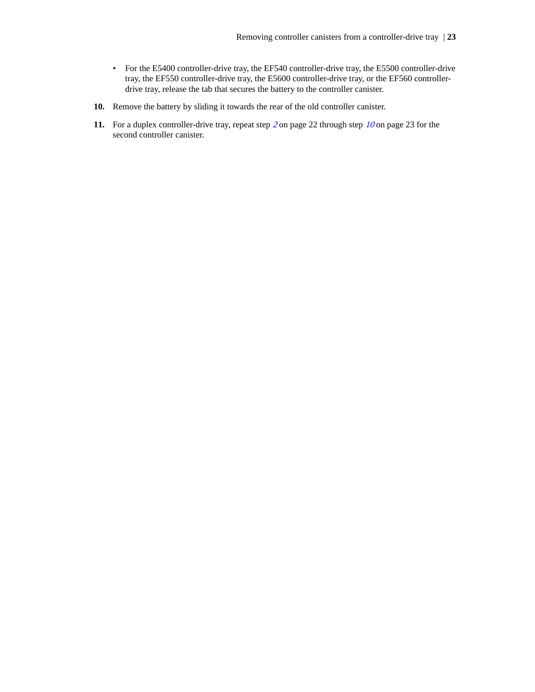- <span id="page-22-0"></span>• For the E5400 controller-drive tray, the EF540 controller-drive tray, the E5500 controller-drive tray, the EF550 controller-drive tray, the E5600 controller-drive tray, or the EF560 controllerdrive tray, release the tab that secures the battery to the controller canister.
- **10.** Remove the battery by sliding it towards the rear of the old controller canister.
- **11.** For a duplex controller-drive tray, repeat step [2](#page-21-0) on page 22 through step 10 on page 23 for the second controller canister.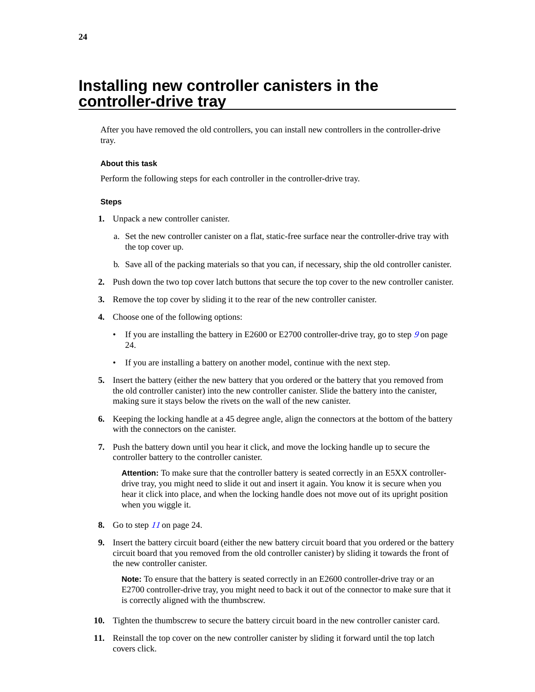## <span id="page-23-0"></span>**Installing new controller canisters in the controller-drive tray**

After you have removed the old controllers, you can install new controllers in the controller-drive tray.

#### **About this task**

Perform the following steps for each controller in the controller-drive tray.

### **Steps**

- **1.** Unpack a new controller canister.
	- a. Set the new controller canister on a flat, static-free surface near the controller-drive tray with the top cover up.
	- b. Save all of the packing materials so that you can, if necessary, ship the old controller canister.
- **2.** Push down the two top cover latch buttons that secure the top cover to the new controller canister.
- **3.** Remove the top cover by sliding it to the rear of the new controller canister.
- **4.** Choose one of the following options:
	- If you are installing the battery in E2600 or E2700 controller-drive tray, go to step  $9$  on page 24.
	- If you are installing a battery on another model, continue with the next step.
- **5.** Insert the battery (either the new battery that you ordered or the battery that you removed from the old controller canister) into the new controller canister. Slide the battery into the canister, making sure it stays below the rivets on the wall of the new canister.
- **6.** Keeping the locking handle at a 45 degree angle, align the connectors at the bottom of the battery with the connectors on the canister.
- **7.** Push the battery down until you hear it click, and move the locking handle up to secure the controller battery to the controller canister.

**Attention:** To make sure that the controller battery is seated correctly in an E5XX controllerdrive tray, you might need to slide it out and insert it again. You know it is secure when you hear it click into place, and when the locking handle does not move out of its upright position when you wiggle it.

- **8.** Go to step 11 on page 24.
- **9.** Insert the battery circuit board (either the new battery circuit board that you ordered or the battery circuit board that you removed from the old controller canister) by sliding it towards the front of the new controller canister.

Note: To ensure that the battery is seated correctly in an E2600 controller-drive tray or an E2700 controller-drive tray, you might need to back it out of the connector to make sure that it is correctly aligned with the thumbscrew.

- **10.** Tighten the thumbscrew to secure the battery circuit board in the new controller canister card.
- **11.** Reinstall the top cover on the new controller canister by sliding it forward until the top latch covers click.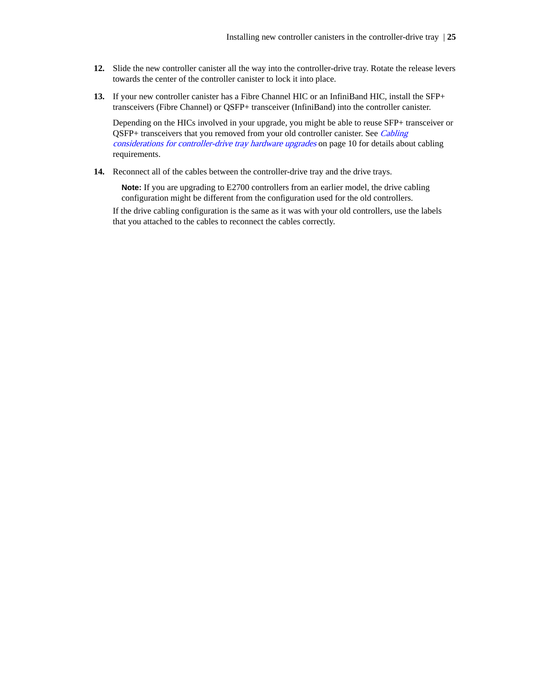- **12.** Slide the new controller canister all the way into the controller-drive tray. Rotate the release levers towards the center of the controller canister to lock it into place.
- **13.** If your new controller canister has a Fibre Channel HIC or an InfiniBand HIC, install the SFP+ transceivers (Fibre Channel) or QSFP+ transceiver (InfiniBand) into the controller canister.

Depending on the HICs involved in your upgrade, you might be able to reuse SFP+ transceiver or QSFP+ transceivers that you removed from your old controller canister. See [Cabling](#page-9-0) [considerations for controller-drive tray hardware upgrades](#page-9-0) on page 10 for details about cabling requirements.

**14.** Reconnect all of the cables between the controller-drive tray and the drive trays.

**Note:** If you are upgrading to E2700 controllers from an earlier model, the drive cabling configuration might be different from the configuration used for the old controllers.

If the drive cabling configuration is the same as it was with your old controllers, use the labels that you attached to the cables to reconnect the cables correctly.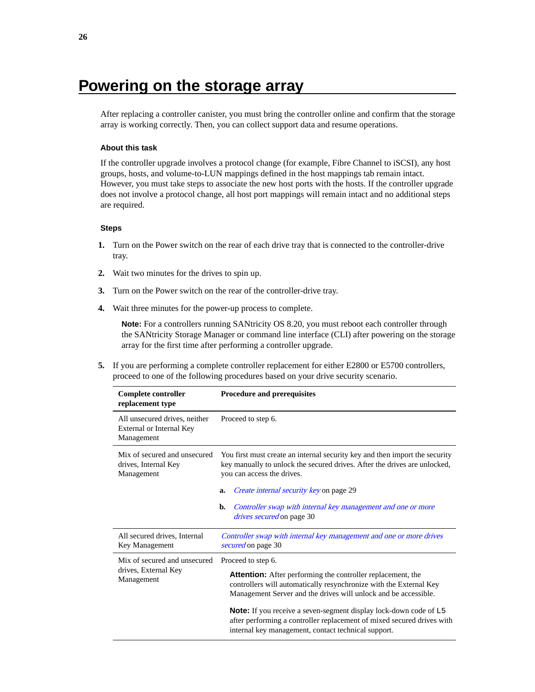## <span id="page-25-0"></span>**Powering on the storage array**

After replacing a controller canister, you must bring the controller online and confirm that the storage array is working correctly. Then, you can collect support data and resume operations.

### **About this task**

If the controller upgrade involves a protocol change (for example, Fibre Channel to iSCSI), any host groups, hosts, and volume-to-LUN mappings defined in the host mappings tab remain intact. However, you must take steps to associate the new host ports with the hosts. If the controller upgrade does not involve a protocol change, all host port mappings will remain intact and no additional steps are required.

### **Steps**

- **1.** Turn on the Power switch on the rear of each drive tray that is connected to the controller-drive tray.
- **2.** Wait two minutes for the drives to spin up.
- **3.** Turn on the Power switch on the rear of the controller-drive tray.
- **4.** Wait three minutes for the power-up process to complete.

**Note:** For a controllers running SANtricity OS 8.20, you must reboot each controller through the SANtricity Storage Manager or command line interface (CLI) after powering on the storage array for the first time after performing a controller upgrade.

**5.** If you are performing a complete controller replacement for either E2800 or E5700 controllers, proceed to one of the following procedures based on your drive security scenario.

| Complete controller<br>replacement type                                 | <b>Procedure and prerequisites</b>                                                                                                                                                                          |  |
|-------------------------------------------------------------------------|-------------------------------------------------------------------------------------------------------------------------------------------------------------------------------------------------------------|--|
| All unsecured drives, neither<br>External or Internal Key<br>Management | Proceed to step 6.                                                                                                                                                                                          |  |
| Mix of secured and unsecured<br>drives, Internal Key<br>Management      | You first must create an internal security key and then import the security<br>key manually to unlock the secured drives. After the drives are unlocked,<br>you can access the drives.                      |  |
|                                                                         | <i>Create internal security key</i> on page 29<br>a.                                                                                                                                                        |  |
|                                                                         | Controller swap with internal key management and one or more<br>b.<br><i>drives secured</i> on page 30                                                                                                      |  |
| All secured drives, Internal<br>Key Management                          | Controller swap with internal key management and one or more drives<br>secured on page 30                                                                                                                   |  |
| Mix of secured and unsecured<br>drives, External Key<br>Management      | Proceed to step 6.                                                                                                                                                                                          |  |
|                                                                         | <b>Attention:</b> After performing the controller replacement, the<br>controllers will automatically resynchronize with the External Key<br>Management Server and the drives will unlock and be accessible. |  |
|                                                                         | <b>Note:</b> If you receive a seven-segment display lock-down code of L5<br>after performing a controller replacement of mixed secured drives with<br>internal key management, contact technical support.   |  |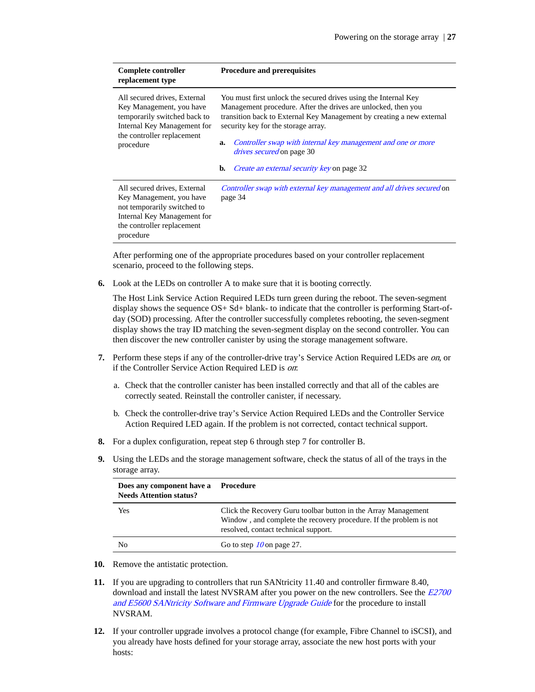| Complete controller<br>replacement type                                                                                                                            | <b>Procedure and prerequisites</b>                                                                                                                                                                                                                                                                                                                                                                                    |
|--------------------------------------------------------------------------------------------------------------------------------------------------------------------|-----------------------------------------------------------------------------------------------------------------------------------------------------------------------------------------------------------------------------------------------------------------------------------------------------------------------------------------------------------------------------------------------------------------------|
| All secured drives, External<br>Key Management, you have<br>temporarily switched back to<br>Internal Key Management for<br>the controller replacement<br>procedure | You must first unlock the secured drives using the Internal Key<br>Management procedure. After the drives are unlocked, then you<br>transition back to External Key Management by creating a new external<br>security key for the storage array.<br>Controller swap with internal key management and one or more<br>a.<br><i>drives secured</i> on page 30<br>b.<br><i>Create an external security key</i> on page 32 |
| All secured drives, External<br>Key Management, you have<br>not temporarily switched to<br>Internal Key Management for<br>the controller replacement<br>procedure  | Controller swap with external key management and all drives secured on<br>page 34                                                                                                                                                                                                                                                                                                                                     |

After performing one of the appropriate procedures based on your controller replacement scenario, proceed to the following steps.

**6.** Look at the LEDs on controller A to make sure that it is booting correctly.

The Host Link Service Action Required LEDs turn green during the reboot. The seven-segment display shows the sequence OS+ Sd+ blank- to indicate that the controller is performing Start-ofday (SOD) processing. After the controller successfully completes rebooting, the seven-segment display shows the tray ID matching the seven-segment display on the second controller. You can then discover the new controller canister by using the storage management software.

- **7.** Perform these steps if any of the controller-drive tray's Service Action Required LEDs are on, or if the Controller Service Action Required LED is on:
	- a. Check that the controller canister has been installed correctly and that all of the cables are correctly seated. Reinstall the controller canister, if necessary.
	- b. Check the controller-drive tray's Service Action Required LEDs and the Controller Service Action Required LED again. If the problem is not corrected, contact technical support.
- **8.** For a duplex configuration, repeat step 6 through step 7 for controller B.
- **9.** Using the LEDs and the storage management software, check the status of all of the trays in the storage array.

| Does any component have a Procedure<br><b>Needs Attention status?</b> |                                                                                                                                                                              |
|-----------------------------------------------------------------------|------------------------------------------------------------------------------------------------------------------------------------------------------------------------------|
| Yes                                                                   | Click the Recovery Guru toolbar button in the Array Management<br>Window, and complete the recovery procedure. If the problem is not<br>resolved, contact technical support. |
| No                                                                    | Go to step $10$ on page 27.                                                                                                                                                  |

- **10.** Remove the antistatic protection.
- **11.** If you are upgrading to controllers that run SANtricity 11.40 and controller firmware 8.40, download and install the latest NVSRAM after you power on the new controllers. See the  $E2700$ [and E5600 SANtricity Software and Firmware Upgrade Guide](https://library.netapp.com/ecm/ecm_download_file/ECMLP2601342) for the procedure to install NVSRAM.
- **12.** If your controller upgrade involves a protocol change (for example, Fibre Channel to iSCSI), and you already have hosts defined for your storage array, associate the new host ports with your hosts: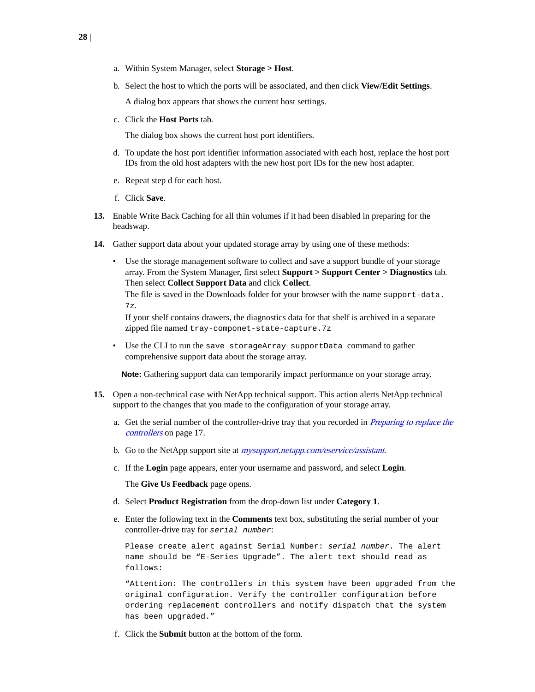- a. Within System Manager, select **Storage > Host**.
- b. Select the host to which the ports will be associated, and then click **View/Edit Settings**.

A dialog box appears that shows the current host settings.

c. Click the **Host Ports** tab.

The dialog box shows the current host port identifiers.

- d. To update the host port identifier information associated with each host, replace the host port IDs from the old host adapters with the new host port IDs for the new host adapter.
- e. Repeat step d for each host.
- f. Click **Save**.
- **13.** Enable Write Back Caching for all thin volumes if it had been disabled in preparing for the headswap.
- **14.** Gather support data about your updated storage array by using one of these methods:
	- Use the storage management software to collect and save a support bundle of your storage array. From the System Manager, first select **Support > Support Center > Diagnostics** tab. Then select **Collect Support Data** and click **Collect**.

The file is saved in the Downloads folder for your browser with the name support-data. 7z.

If your shelf contains drawers, the diagnostics data for that shelf is archived in a separate zipped file named tray-componet-state-capture.7z

• Use the CLI to run the save storageArray supportData command to gather comprehensive support data about the storage array.

**Note:** Gathering support data can temporarily impact performance on your storage array.

- **15.** Open a non-technical case with NetApp technical support. This action alerts NetApp technical support to the changes that you made to the configuration of your storage array.
	- a. Get the serial number of the controller-drive tray that you recorded in *[Preparing to replace the](#page-16-0)* [controllers](#page-16-0) on page 17.
	- b. Go to the NetApp support site at *[mysupport.netapp.com/eservice/assistant](http://mysupport.netapp.com/eservice/assistant)*.
	- c. If the **Login** page appears, enter your username and password, and select **Login**.

The **Give Us Feedback** page opens.

- d. Select **Product Registration** from the drop-down list under **Category 1**.
- e. Enter the following text in the **Comments** text box, substituting the serial number of your controller-drive tray for serial number:

Please create alert against Serial Number: serial number. The alert name should be "E-Series Upgrade". The alert text should read as follows:

"Attention: The controllers in this system have been upgraded from the original configuration. Verify the controller configuration before ordering replacement controllers and notify dispatch that the system has been upgraded."

f. Click the **Submit** button at the bottom of the form.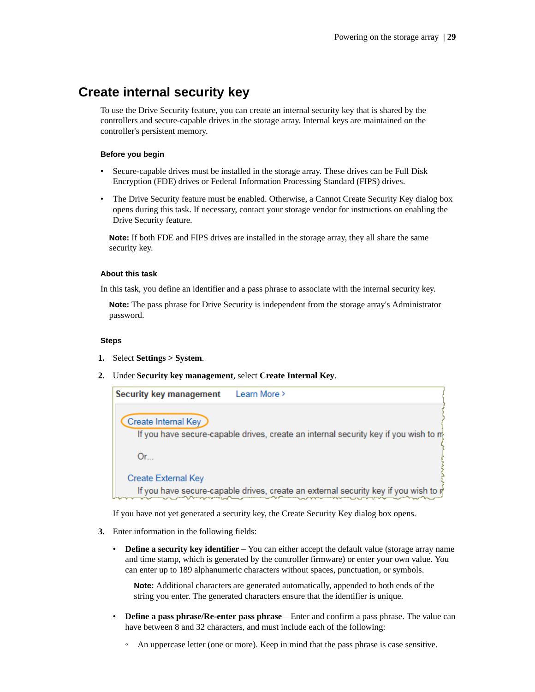### <span id="page-28-0"></span>**Create internal security key**

To use the Drive Security feature, you can create an internal security key that is shared by the controllers and secure-capable drives in the storage array. Internal keys are maintained on the controller's persistent memory.

### **Before you begin**

- Secure-capable drives must be installed in the storage array. These drives can be Full Disk Encryption (FDE) drives or Federal Information Processing Standard (FIPS) drives.
- The Drive Security feature must be enabled. Otherwise, a Cannot Create Security Key dialog box opens during this task. If necessary, contact your storage vendor for instructions on enabling the Drive Security feature.

**Note:** If both FDE and FIPS drives are installed in the storage array, they all share the same security key.

### **About this task**

In this task, you define an identifier and a pass phrase to associate with the internal security key.

**Note:** The pass phrase for Drive Security is independent from the storage array's Administrator password.

### **Steps**

- **1.** Select **Settings > System**.
- **2.** Under **Security key management**, select **Create Internal Key**.

| <b>Security key management</b> | Learn More >                                                                        |
|--------------------------------|-------------------------------------------------------------------------------------|
| Create Internal Key            | If you have secure-capable drives, create an internal security key if you wish to m |
|                                |                                                                                     |
| $Or_{\cdots}$                  |                                                                                     |
| <b>Create External Key</b>     |                                                                                     |
|                                | If you have secure-capable drives, create an external security key if you wish to p |

If you have not yet generated a security key, the Create Security Key dialog box opens.

- **3.** Enter information in the following fields:
	- **Define a security key identifier** You can either accept the default value (storage array name and time stamp, which is generated by the controller firmware) or enter your own value. You can enter up to 189 alphanumeric characters without spaces, punctuation, or symbols.

**Note:** Additional characters are generated automatically, appended to both ends of the string you enter. The generated characters ensure that the identifier is unique.

- **Define a pass phrase/Re-enter pass phrase** Enter and confirm a pass phrase. The value can have between 8 and 32 characters, and must include each of the following:
	- An uppercase letter (one or more). Keep in mind that the pass phrase is case sensitive.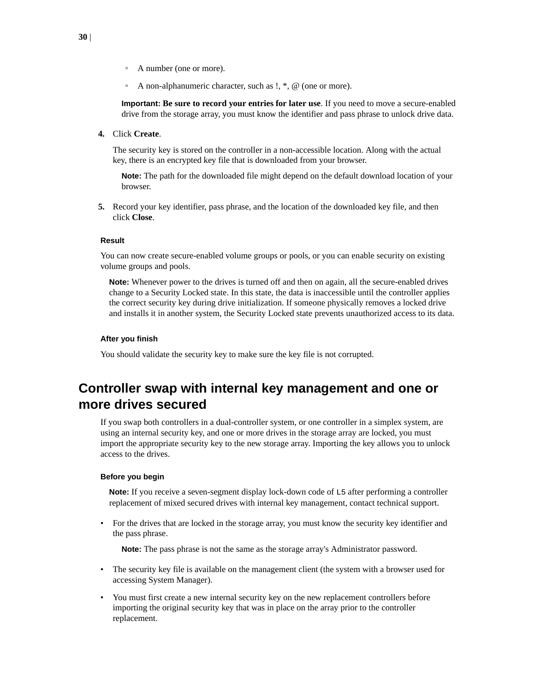- <span id="page-29-0"></span>◦ A number (one or more).
- A non-alphanumeric character, such as  $!, *, @$  (one or more).

**Important: Be sure to record your entries for later use**. If you need to move a secure-enabled drive from the storage array, you must know the identifier and pass phrase to unlock drive data.

**4.** Click **Create**.

The security key is stored on the controller in a non-accessible location. Along with the actual key, there is an encrypted key file that is downloaded from your browser.

**Note:** The path for the downloaded file might depend on the default download location of your browser.

**5.** Record your key identifier, pass phrase, and the location of the downloaded key file, and then click **Close**.

### **Result**

You can now create secure-enabled volume groups or pools, or you can enable security on existing volume groups and pools.

**Note:** Whenever power to the drives is turned off and then on again, all the secure-enabled drives change to a Security Locked state. In this state, the data is inaccessible until the controller applies the correct security key during drive initialization. If someone physically removes a locked drive and installs it in another system, the Security Locked state prevents unauthorized access to its data.

#### **After you finish**

You should validate the security key to make sure the key file is not corrupted.

### **Controller swap with internal key management and one or more drives secured**

If you swap both controllers in a dual-controller system, or one controller in a simplex system, are using an internal security key, and one or more drives in the storage array are locked, you must import the appropriate security key to the new storage array. Importing the key allows you to unlock access to the drives.

#### **Before you begin**

**Note:** If you receive a seven-segment display lock-down code of L5 after performing a controller replacement of mixed secured drives with internal key management, contact technical support.

• For the drives that are locked in the storage array, you must know the security key identifier and the pass phrase.

**Note:** The pass phrase is not the same as the storage array's Administrator password.

- The security key file is available on the management client (the system with a browser used for accessing System Manager).
- You must first create a new internal security key on the new replacement controllers before importing the original security key that was in place on the array prior to the controller replacement.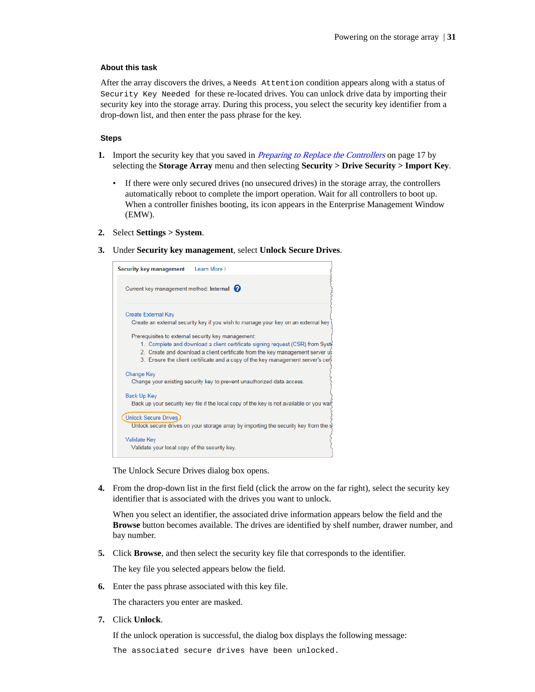### <span id="page-30-0"></span>**About this task**

After the array discovers the drives, a Needs Attention condition appears along with a status of Security Key Needed for these re-located drives. You can unlock drive data by importing their security key into the storage array. During this process, you select the security key identifier from a drop-down list, and then enter the pass phrase for the key.

### **Steps**

- **1.** Import the security key that you saved in [Preparing to Replace the Controllers](#page-16-0) on page 17 by selecting the **Storage Array** menu and then selecting **Security > Drive Security > Import Key**.
	- If there were only secured drives (no unsecured drives) in the storage array, the controllers automatically reboot to complete the import operation. Wait for all controllers to boot up. When a controller finishes booting, its icon appears in the Enterprise Management Window (EMW).
- **2.** Select **Settings > System**.
- **3.** Under **Security key management**, select **Unlock Secure Drives**.

| Learn More ><br>Security key management                                                                                                                                                                                                                                                                 |
|---------------------------------------------------------------------------------------------------------------------------------------------------------------------------------------------------------------------------------------------------------------------------------------------------------|
| Current key management method: Internal                                                                                                                                                                                                                                                                 |
| Create External Key<br>Create an external security key if you wish to manage your key on an external key                                                                                                                                                                                                |
| Prerequisites to external security key management:<br>1. Complete and download a client certificate signing request (CSR) from Syst<br>2. Create and download a client certificate from the key management server us<br>3. Ensure the client certificate and a copy of the key management server's cer- |
| <b>Change Key</b><br>Change your existing security key to prevent unauthorized data access.                                                                                                                                                                                                             |
| Back Up Key<br>Back up your security key file if the local copy of the key is not available or you war                                                                                                                                                                                                  |
| Unlock Secure Drives<br>Unlock secure drives on your storage array by importing the security key from the s                                                                                                                                                                                             |
| Validate Key<br>Validate your local copy of the security key.                                                                                                                                                                                                                                           |

The Unlock Secure Drives dialog box opens.

**4.** From the drop-down list in the first field (click the arrow on the far right), select the security key identifier that is associated with the drives you want to unlock.

When you select an identifier, the associated drive information appears below the field and the **Browse** button becomes available. The drives are identified by shelf number, drawer number, and bay number.

**5.** Click **Browse**, and then select the security key file that corresponds to the identifier.

The key file you selected appears below the field.

**6.** Enter the pass phrase associated with this key file.

The characters you enter are masked.

**7.** Click **Unlock**.

If the unlock operation is successful, the dialog box displays the following message:

The associated secure drives have been unlocked.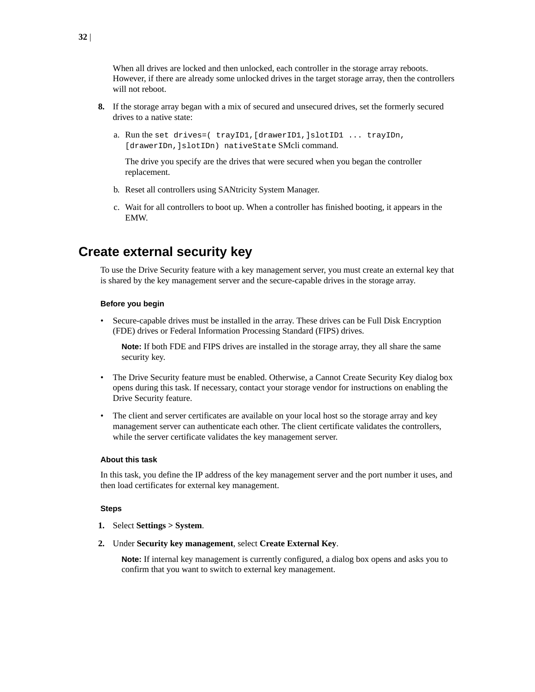<span id="page-31-0"></span>When all drives are locked and then unlocked, each controller in the storage array reboots. However, if there are already some unlocked drives in the target storage array, then the controllers will not reboot.

- **8.** If the storage array began with a mix of secured and unsecured drives, set the formerly secured drives to a native state:
	- a. Run the set drives=( trayID1,[drawerID1,]slotID1 ... trayIDn, [drawerIDn,]slotIDn) nativeState SMcli command.

The drive you specify are the drives that were secured when you began the controller replacement.

- b. Reset all controllers using SANtricity System Manager.
- c. Wait for all controllers to boot up. When a controller has finished booting, it appears in the EMW.

### **Create external security key**

To use the Drive Security feature with a key management server, you must create an external key that is shared by the key management server and the secure-capable drives in the storage array.

### **Before you begin**

• Secure-capable drives must be installed in the array. These drives can be Full Disk Encryption (FDE) drives or Federal Information Processing Standard (FIPS) drives.

**Note:** If both FDE and FIPS drives are installed in the storage array, they all share the same security key.

- The Drive Security feature must be enabled. Otherwise, a Cannot Create Security Key dialog box opens during this task. If necessary, contact your storage vendor for instructions on enabling the Drive Security feature.
- The client and server certificates are available on your local host so the storage array and key management server can authenticate each other. The client certificate validates the controllers, while the server certificate validates the key management server.

#### **About this task**

In this task, you define the IP address of the key management server and the port number it uses, and then load certificates for external key management.

### **Steps**

- **1.** Select **Settings > System**.
- **2.** Under **Security key management**, select **Create External Key**.

**Note:** If internal key management is currently configured, a dialog box opens and asks you to confirm that you want to switch to external key management.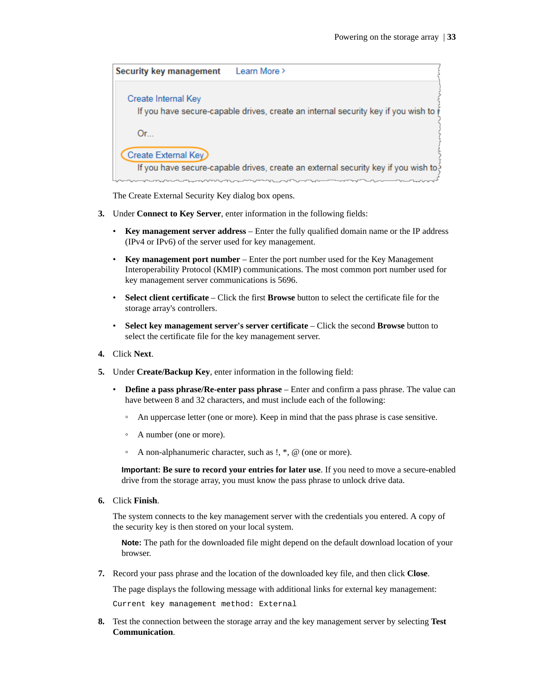| <b>Security key management</b> | Learn More >                                                                        |
|--------------------------------|-------------------------------------------------------------------------------------|
| Create Internal Key            | If you have secure-capable drives, create an internal security key if you wish to i |
| $Or_{\cdots}$                  |                                                                                     |
| Create External Key            | If you have secure-capable drives, create an external security key if you wish to?  |
|                                |                                                                                     |

The Create External Security Key dialog box opens.

- **3.** Under **Connect to Key Server**, enter information in the following fields:
	- **Key management server address** Enter the fully qualified domain name or the IP address (IPv4 or IPv6) of the server used for key management.
	- **Key management port number** Enter the port number used for the Key Management Interoperability Protocol (KMIP) communications. The most common port number used for key management server communications is 5696.
	- **Select client certificate** Click the first **Browse** button to select the certificate file for the storage array's controllers.
	- **Select key management server's server certificate** Click the second **Browse** button to select the certificate file for the key management server.
- **4.** Click **Next**.
- **5.** Under **Create/Backup Key**, enter information in the following field:
	- **Define a pass phrase/Re-enter pass phrase** Enter and confirm a pass phrase. The value can have between 8 and 32 characters, and must include each of the following:
		- An uppercase letter (one or more). Keep in mind that the pass phrase is case sensitive.
		- A number (one or more).
		- A non-alphanumeric character, such as !, \*, @ (one or more).

**Important: Be sure to record your entries for later use**. If you need to move a secure-enabled drive from the storage array, you must know the pass phrase to unlock drive data.

**6.** Click **Finish**.

The system connects to the key management server with the credentials you entered. A copy of the security key is then stored on your local system.

**Note:** The path for the downloaded file might depend on the default download location of your browser.

**7.** Record your pass phrase and the location of the downloaded key file, and then click **Close**.

The page displays the following message with additional links for external key management:

Current key management method: External

**8.** Test the connection between the storage array and the key management server by selecting **Test Communication**.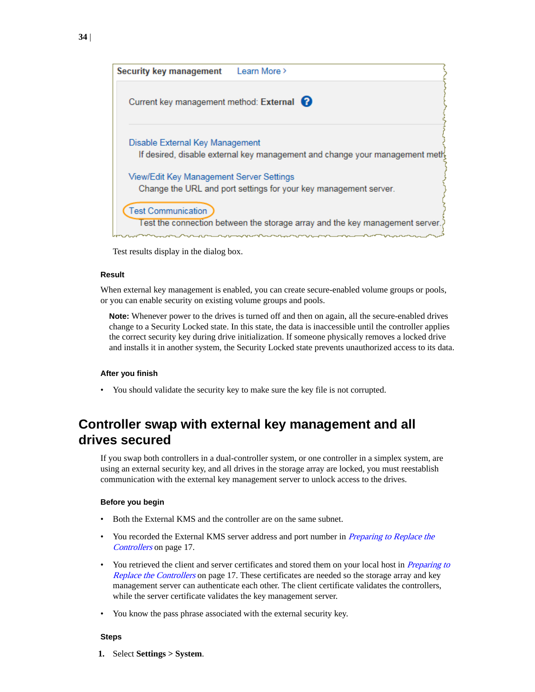<span id="page-33-0"></span>

Test results display in the dialog box.

### **Result**

When external key management is enabled, you can create secure-enabled volume groups or pools, or you can enable security on existing volume groups and pools.

**Note:** Whenever power to the drives is turned off and then on again, all the secure-enabled drives change to a Security Locked state. In this state, the data is inaccessible until the controller applies the correct security key during drive initialization. If someone physically removes a locked drive and installs it in another system, the Security Locked state prevents unauthorized access to its data.

#### **After you finish**

• You should validate the security key to make sure the key file is not corrupted.

### **Controller swap with external key management and all drives secured**

If you swap both controllers in a dual-controller system, or one controller in a simplex system, are using an external security key, and all drives in the storage array are locked, you must reestablish communication with the external key management server to unlock access to the drives.

#### **Before you begin**

- Both the External KMS and the controller are on the same subnet.
- You recorded the External KMS server address and port number in *[Preparing to Replace the](#page-16-0)* [Controllers](#page-16-0) on page 17.
- You retrieved the client and server certificates and stored them on your local host in *[Preparing to](#page-16-0)* [Replace the Controllers](#page-16-0) on page 17. These certificates are needed so the storage array and key management server can authenticate each other. The client certificate validates the controllers, while the server certificate validates the key management server.
- You know the pass phrase associated with the external security key.

#### **Steps**

**1.** Select **Settings > System**.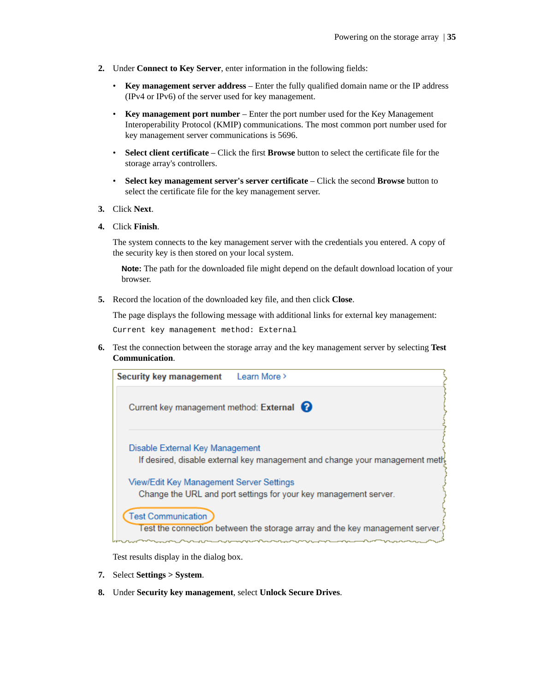- **2.** Under **Connect to Key Server**, enter information in the following fields:
	- **Key management server address** Enter the fully qualified domain name or the IP address (IPv4 or IPv6) of the server used for key management.
	- **Key management port number** Enter the port number used for the Key Management Interoperability Protocol (KMIP) communications. The most common port number used for key management server communications is 5696.
	- **Select client certificate** Click the first **Browse** button to select the certificate file for the storage array's controllers.
	- **Select key management server's server certificate** Click the second **Browse** button to select the certificate file for the key management server.
- **3.** Click **Next**.
- **4.** Click **Finish**.

The system connects to the key management server with the credentials you entered. A copy of the security key is then stored on your local system.

**Note:** The path for the downloaded file might depend on the default download location of your browser.

**5.** Record the location of the downloaded key file, and then click **Close**.

The page displays the following message with additional links for external key management:

Current key management method: External

**6.** Test the connection between the storage array and the key management server by selecting **Test Communication**.



Test results display in the dialog box.

- **7.** Select **Settings > System**.
- **8.** Under **Security key management**, select **Unlock Secure Drives**.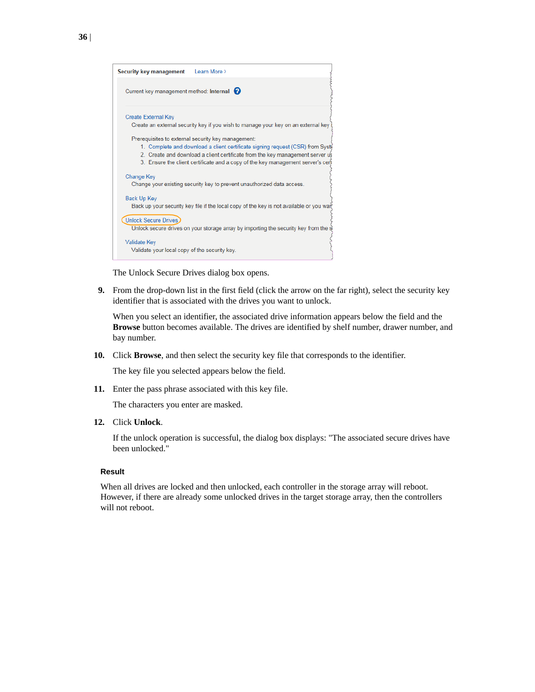| Security key management Learn More >                                                    |
|-----------------------------------------------------------------------------------------|
| Current key management method: Internal                                                 |
| <b>Create External Key</b>                                                              |
| Create an external security key if you wish to manage your key on an external key       |
| Prerequisites to external security key management:                                      |
| 1. Complete and download a client certificate signing request (CSR) from Syst           |
| 2. Create and download a client certificate from the key management server us           |
| 3. Ensure the client certificate and a copy of the key management server's cer-         |
| <b>Change Key</b>                                                                       |
| Change your existing security key to prevent unauthorized data access.                  |
|                                                                                         |
| <b>Back Up Key</b>                                                                      |
| Back up your security key file if the local copy of the key is not available or you war |
| <b>Unlock Secure Drives</b>                                                             |
| Unlock secure drives on your storage array by importing the security key from the s     |
|                                                                                         |
| <b>Validate Key</b>                                                                     |
| Validate your local copy of the security key.                                           |
|                                                                                         |

The Unlock Secure Drives dialog box opens.

**9.** From the drop-down list in the first field (click the arrow on the far right), select the security key identifier that is associated with the drives you want to unlock.

When you select an identifier, the associated drive information appears below the field and the **Browse** button becomes available. The drives are identified by shelf number, drawer number, and bay number.

**10.** Click **Browse**, and then select the security key file that corresponds to the identifier.

The key file you selected appears below the field.

**11.** Enter the pass phrase associated with this key file.

The characters you enter are masked.

**12.** Click **Unlock**.

If the unlock operation is successful, the dialog box displays: "The associated secure drives have been unlocked."

### **Result**

When all drives are locked and then unlocked, each controller in the storage array will reboot. However, if there are already some unlocked drives in the target storage array, then the controllers will not reboot.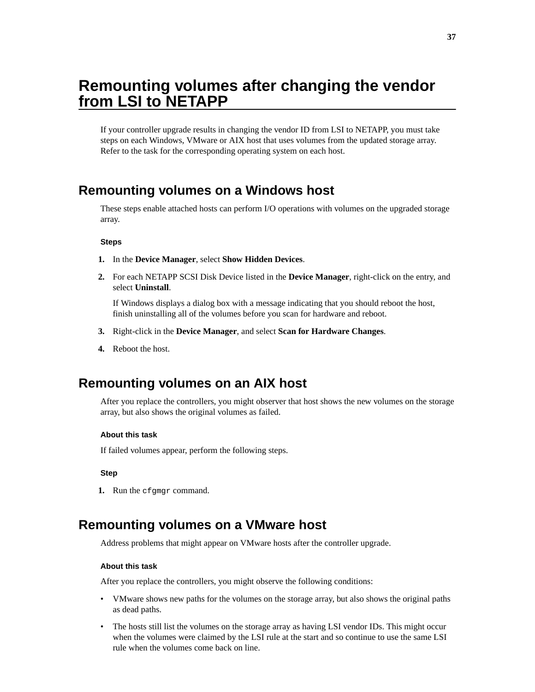## <span id="page-36-0"></span>**Remounting volumes after changing the vendor from LSI to NETAPP**

If your controller upgrade results in changing the vendor ID from LSI to NETAPP, you must take steps on each Windows, VMware or AIX host that uses volumes from the updated storage array. Refer to the task for the corresponding operating system on each host.

### **Remounting volumes on a Windows host**

These steps enable attached hosts can perform I/O operations with volumes on the upgraded storage array.

### **Steps**

- **1.** In the **Device Manager**, select **Show Hidden Devices**.
- **2.** For each NETAPP SCSI Disk Device listed in the **Device Manager**, right-click on the entry, and select **Uninstall**.

If Windows displays a dialog box with a message indicating that you should reboot the host, finish uninstalling all of the volumes before you scan for hardware and reboot.

- **3.** Right-click in the **Device Manager**, and select **Scan for Hardware Changes**.
- **4.** Reboot the host.

### **Remounting volumes on an AIX host**

After you replace the controllers, you might observer that host shows the new volumes on the storage array, but also shows the original volumes as failed.

### **About this task**

If failed volumes appear, perform the following steps.

### **Step**

**1.** Run the cfgmgr command.

### **Remounting volumes on a VMware host**

Address problems that might appear on VMware hosts after the controller upgrade.

### **About this task**

After you replace the controllers, you might observe the following conditions:

- VMware shows new paths for the volumes on the storage array, but also shows the original paths as dead paths.
- The hosts still list the volumes on the storage array as having LSI vendor IDs. This might occur when the volumes were claimed by the LSI rule at the start and so continue to use the same LSI rule when the volumes come back on line.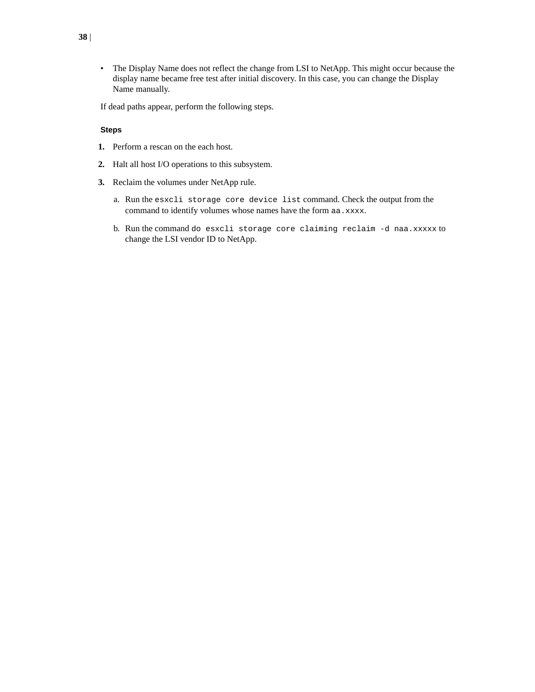• The Display Name does not reflect the change from LSI to NetApp. This might occur because the display name became free test after initial discovery. In this case, you can change the Display Name manually.

If dead paths appear, perform the following steps.

### **Steps**

- **1.** Perform a rescan on the each host.
- **2.** Halt all host I/O operations to this subsystem.
- **3.** Reclaim the volumes under NetApp rule.
	- a. Run the esxcli storage core device list command. Check the output from the command to identify volumes whose names have the form aa.xxxx.
	- b. Run the command do esxcli storage core claiming reclaim -d naa.xxxxx to change the LSI vendor ID to NetApp.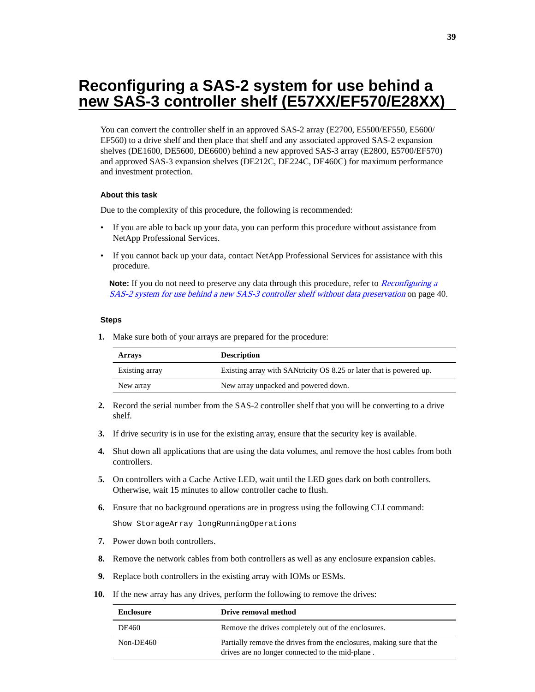## <span id="page-38-0"></span>**Reconfiguring a SAS-2 system for use behind a new SAS-3 controller shelf (E57XX/EF570/E28XX)**

You can convert the controller shelf in an approved SAS-2 array (E2700, E5500/EF550, E5600/ EF560) to a drive shelf and then place that shelf and any associated approved SAS-2 expansion shelves (DE1600, DE5600, DE6600) behind a new approved SAS-3 array (E2800, E5700/EF570) and approved SAS-3 expansion shelves (DE212C, DE224C, DE460C) for maximum performance and investment protection.

### **About this task**

Due to the complexity of this procedure, the following is recommended:

- If you are able to back up your data, you can perform this procedure without assistance from NetApp Professional Services.
- If you cannot back up your data, contact NetApp Professional Services for assistance with this procedure.

**Note:** If you do not need to preserve any data through this procedure, refer to *[Reconfiguring a](#page-39-0)* [SAS-2 system for use behind a new SAS-3 controller shelf without data preservation](#page-39-0) on page 40.

### **Steps**

**1.** Make sure both of your arrays are prepared for the procedure:

| <b>Arrays</b>  | <b>Description</b>                                                  |
|----------------|---------------------------------------------------------------------|
| Existing array | Existing array with SANtricity OS 8.25 or later that is powered up. |
| New array      | New array unpacked and powered down.                                |

- **2.** Record the serial number from the SAS-2 controller shelf that you will be converting to a drive shelf.
- **3.** If drive security is in use for the existing array, ensure that the security key is available.
- **4.** Shut down all applications that are using the data volumes, and remove the host cables from both controllers.
- **5.** On controllers with a Cache Active LED, wait until the LED goes dark on both controllers. Otherwise, wait 15 minutes to allow controller cache to flush.
- **6.** Ensure that no background operations are in progress using the following CLI command:

Show StorageArray longRunningOperations

- **7.** Power down both controllers.
- **8.** Remove the network cables from both controllers as well as any enclosure expansion cables.
- **9.** Replace both controllers in the existing array with IOMs or ESMs.
- **10.** If the new array has any drives, perform the following to remove the drives:

| <b>Enclosure</b> | Drive removal method                                                                                                      |
|------------------|---------------------------------------------------------------------------------------------------------------------------|
| DE460            | Remove the drives completely out of the enclosures.                                                                       |
| Non-DE460        | Partially remove the drives from the enclosures, making sure that the<br>drives are no longer connected to the mid-plane. |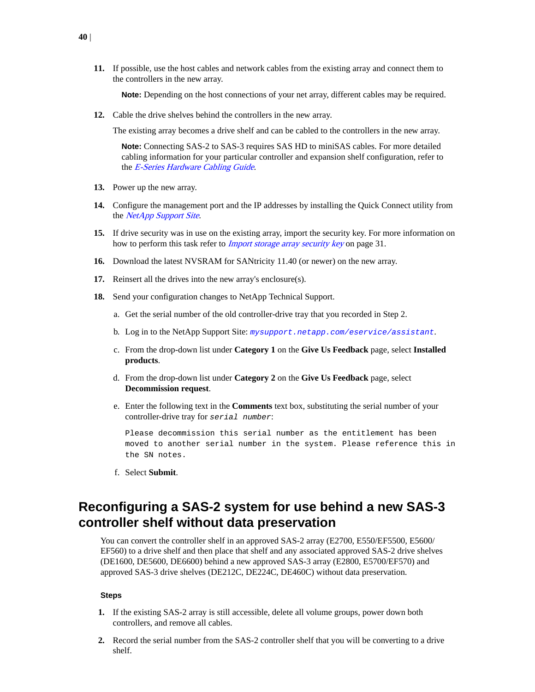<span id="page-39-0"></span>**11.** If possible, use the host cables and network cables from the existing array and connect them to the controllers in the new array.

**Note:** Depending on the host connections of your net array, different cables may be required.

**12.** Cable the drive shelves behind the controllers in the new array.

The existing array becomes a drive shelf and can be cabled to the controllers in the new array.

**Note:** Connecting SAS-2 to SAS-3 requires SAS HD to miniSAS cables. For more detailed cabling information for your particular controller and expansion shelf configuration, refer to the [E-Series Hardware Cabling Guide](https://library.netapp.com/ecm/ecm_download_file/ECMLP2588749).

- **13.** Power up the new array.
- **14.** Configure the management port and the IP addresses by installing the Quick Connect utility from the [NetApp Support Site](HTTPS://MYSUPPORT.NETAPP.COM/QUICKCONNECT).
- **15.** If drive security was in use on the existing array, import the security key. For more information on how to perform this task refer to *[Import storage array security key](#page-30-0)* on page 31.
- **16.** Download the latest NVSRAM for SANtricity 11.40 (or newer) on the new array.
- **17.** Reinsert all the drives into the new array's enclosure(s).
- **18.** Send your configuration changes to NetApp Technical Support.
	- a. Get the serial number of the old controller-drive tray that you recorded in Step 2.
	- b. Log in to the NetApp Support Site: [mysupport.netapp.com/eservice/assistant](http://mysupport.netapp.com/eservice/assistant).
	- c. From the drop-down list under **Category 1** on the **Give Us Feedback** page, select **Installed products**.
	- d. From the drop-down list under **Category 2** on the **Give Us Feedback** page, select **Decommission request**.
	- e. Enter the following text in the **Comments** text box, substituting the serial number of your controller-drive tray for serial number:

Please decommission this serial number as the entitlement has been moved to another serial number in the system. Please reference this in the SN notes.

f. Select **Submit**.

### **Reconfiguring a SAS-2 system for use behind a new SAS-3 controller shelf without data preservation**

You can convert the controller shelf in an approved SAS-2 array (E2700, E550/EF5500, E5600/ EF560) to a drive shelf and then place that shelf and any associated approved SAS-2 drive shelves (DE1600, DE5600, DE6600) behind a new approved SAS-3 array (E2800, E5700/EF570) and approved SAS-3 drive shelves (DE212C, DE224C, DE460C) without data preservation.

#### **Steps**

- **1.** If the existing SAS-2 array is still accessible, delete all volume groups, power down both controllers, and remove all cables.
- **2.** Record the serial number from the SAS-2 controller shelf that you will be converting to a drive shelf.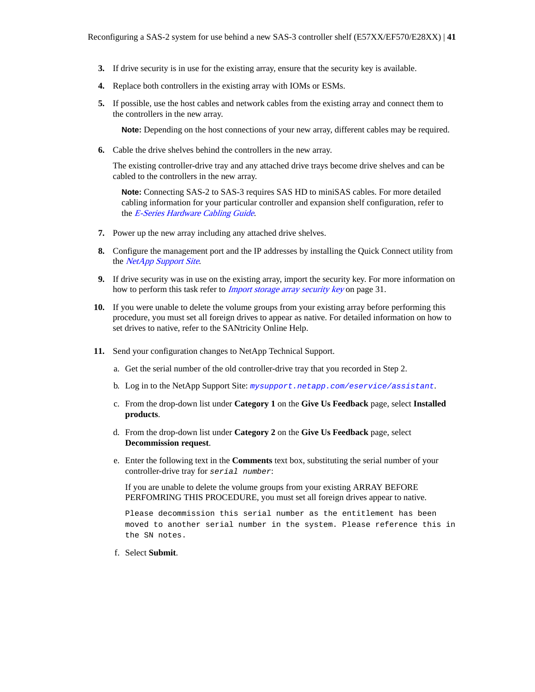- **3.** If drive security is in use for the existing array, ensure that the security key is available.
- **4.** Replace both controllers in the existing array with IOMs or ESMs.
- **5.** If possible, use the host cables and network cables from the existing array and connect them to the controllers in the new array.

**Note:** Depending on the host connections of your new array, different cables may be required.

**6.** Cable the drive shelves behind the controllers in the new array.

The existing controller-drive tray and any attached drive trays become drive shelves and can be cabled to the controllers in the new array.

**Note:** Connecting SAS-2 to SAS-3 requires SAS HD to miniSAS cables. For more detailed cabling information for your particular controller and expansion shelf configuration, refer to the [E-Series Hardware Cabling Guide](https://library.netapp.com/ecm/ecm_download_file/ECMLP2588749).

- **7.** Power up the new array including any attached drive shelves.
- **8.** Configure the management port and the IP addresses by installing the Quick Connect utility from the [NetApp Support Site](HTTPS://MYSUPPORT.NETAPP.COM/QUICKCONNECT).
- **9.** If drive security was in use on the existing array, import the security key. For more information on how to perform this task refer to *[Import storage array security key](#page-30-0)* on page 31.
- **10.** If you were unable to delete the volume groups from your existing array before performing this procedure, you must set all foreign drives to appear as native. For detailed information on how to set drives to native, refer to the SANtricity Online Help.
- **11.** Send your configuration changes to NetApp Technical Support.
	- a. Get the serial number of the old controller-drive tray that you recorded in Step 2.
	- b. Log in to the NetApp Support Site: [mysupport.netapp.com/eservice/assistant](http://mysupport.netapp.com/eservice/assistant).
	- c. From the drop-down list under **Category 1** on the **Give Us Feedback** page, select **Installed products**.
	- d. From the drop-down list under **Category 2** on the **Give Us Feedback** page, select **Decommission request**.
	- e. Enter the following text in the **Comments** text box, substituting the serial number of your controller-drive tray for serial number:

If you are unable to delete the volume groups from your existing ARRAY BEFORE PERFOMRING THIS PROCEDURE, you must set all foreign drives appear to native.

Please decommission this serial number as the entitlement has been moved to another serial number in the system. Please reference this in the SN notes.

f. Select **Submit**.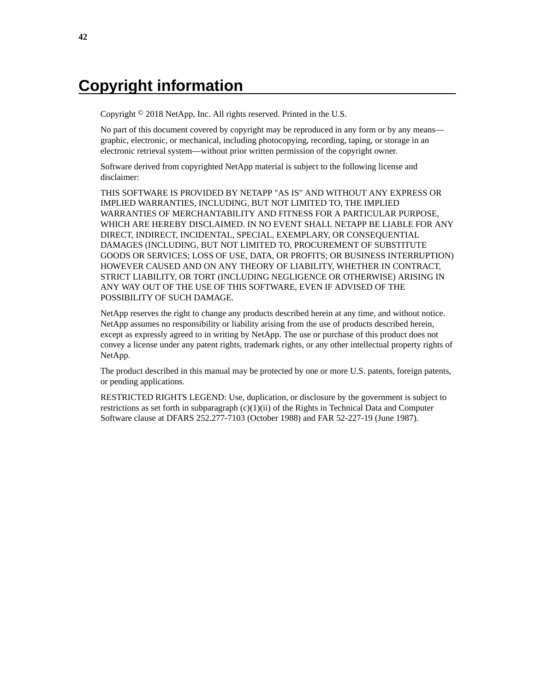## <span id="page-41-0"></span>**Copyright information**

Copyright © 2018 NetApp, Inc. All rights reserved. Printed in the U.S.

No part of this document covered by copyright may be reproduced in any form or by any means graphic, electronic, or mechanical, including photocopying, recording, taping, or storage in an electronic retrieval system—without prior written permission of the copyright owner.

Software derived from copyrighted NetApp material is subject to the following license and disclaimer:

THIS SOFTWARE IS PROVIDED BY NETAPP "AS IS" AND WITHOUT ANY EXPRESS OR IMPLIED WARRANTIES, INCLUDING, BUT NOT LIMITED TO, THE IMPLIED WARRANTIES OF MERCHANTABILITY AND FITNESS FOR A PARTICULAR PURPOSE, WHICH ARE HEREBY DISCLAIMED. IN NO EVENT SHALL NETAPP BE LIABLE FOR ANY DIRECT, INDIRECT, INCIDENTAL, SPECIAL, EXEMPLARY, OR CONSEQUENTIAL DAMAGES (INCLUDING, BUT NOT LIMITED TO, PROCUREMENT OF SUBSTITUTE GOODS OR SERVICES; LOSS OF USE, DATA, OR PROFITS; OR BUSINESS INTERRUPTION) HOWEVER CAUSED AND ON ANY THEORY OF LIABILITY, WHETHER IN CONTRACT, STRICT LIABILITY, OR TORT (INCLUDING NEGLIGENCE OR OTHERWISE) ARISING IN ANY WAY OUT OF THE USE OF THIS SOFTWARE, EVEN IF ADVISED OF THE POSSIBILITY OF SUCH DAMAGE.

NetApp reserves the right to change any products described herein at any time, and without notice. NetApp assumes no responsibility or liability arising from the use of products described herein, except as expressly agreed to in writing by NetApp. The use or purchase of this product does not convey a license under any patent rights, trademark rights, or any other intellectual property rights of NetApp.

The product described in this manual may be protected by one or more U.S. patents, foreign patents, or pending applications.

RESTRICTED RIGHTS LEGEND: Use, duplication, or disclosure by the government is subject to restrictions as set forth in subparagraph  $(c)(1)(ii)$  of the Rights in Technical Data and Computer Software clause at DFARS 252.277-7103 (October 1988) and FAR 52-227-19 (June 1987).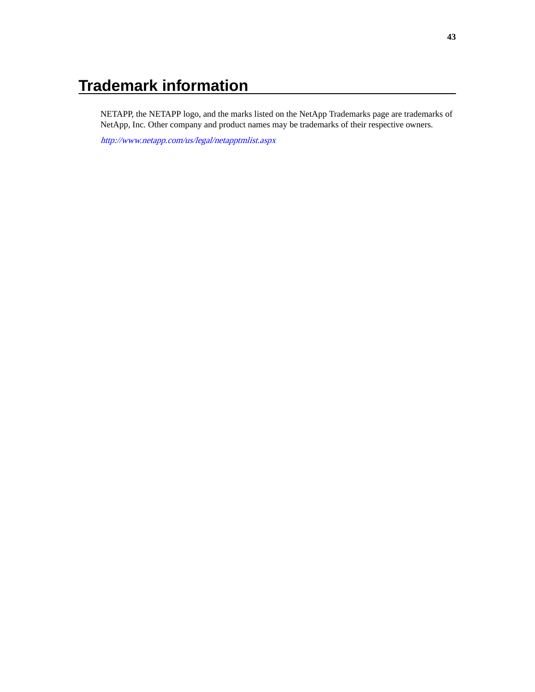## <span id="page-42-0"></span>**Trademark information**

NETAPP, the NETAPP logo, and the marks listed on the NetApp Trademarks page are trademarks of NetApp, Inc. Other company and product names may be trademarks of their respective owners.

<http://www.netapp.com/us/legal/netapptmlist.aspx>